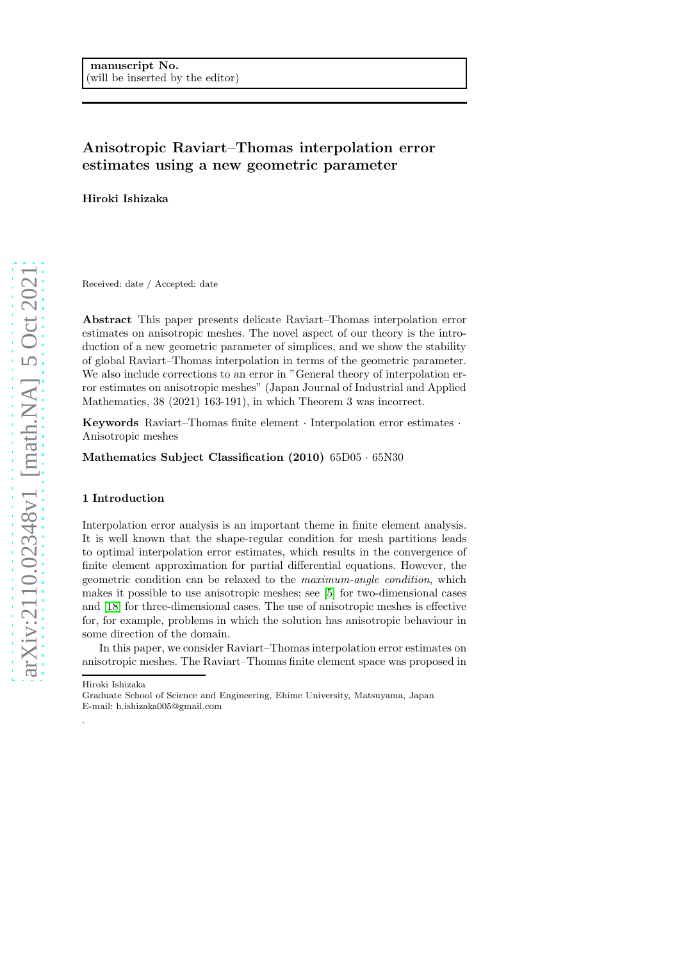## Anisotropic Raviart–Thomas interpolation error estimates using a new geometric parameter

Hiroki Ishizaka

Received: date / Accepted: date

Abstract This paper presents delicate Raviart–Thomas interpolation error estimates on anisotropic meshes. The novel aspect of our theory is the introduction of a new geometric parameter of simplices, and we show the stability of global Raviart–Thomas interpolation in terms of the geometric parameter. We also include corrections to an error in "General theory of interpolation error estimates on anisotropic meshes" (Japan Journal of Industrial and Applied Mathematics, 38 (2021) 163-191), in which Theorem 3 was incorrect.

Keywords Raviart–Thomas finite element · Interpolation error estimates · Anisotropic meshes

Mathematics Subject Classification (2010) 65D05 · 65N30

#### 1 Introduction

Interpolation error analysis is an important theme in finite element analysis. It is well known that the shape-regular condition for mesh partitions leads to optimal interpolation error estimates, which results in the convergence of finite element approximation for partial differential equations. However, the geometric condition can be relaxed to the maximum-angle condition, which makes it possible to use anisotropic meshes; see [\[5\]](#page-27-0) for two-dimensional cases and [\[18\]](#page-27-1) for three-dimensional cases. The use of anisotropic meshes is effective for, for example, problems in which the solution has anisotropic behaviour in some direction of the domain.

In this paper, we consider Raviart–Thomas interpolation error estimates on anisotropic meshes. The Raviart–Thomas finite element space was proposed in

Hiroki Ishizaka

·

Graduate School of Science and Engineering, Ehime University, Matsuyama, Japan E-mail: h.ishizaka005@gmail.com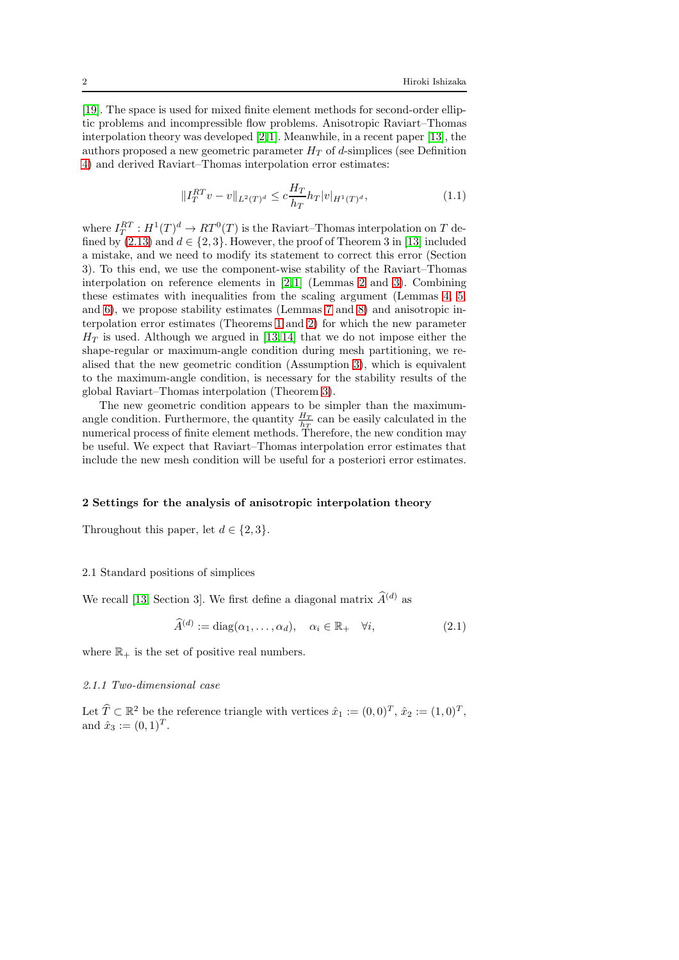[\[19\]](#page-27-2). The space is used for mixed finite element methods for second-order elliptic problems and incompressible flow problems. Anisotropic Raviart–Thomas interpolation theory was developed [\[2,](#page-27-3)[1\]](#page-27-4). Meanwhile, in a recent paper [\[13\]](#page-27-5), the authors proposed a new geometric parameter  $H_T$  of d-simplices (see Definition [4\)](#page-5-0) and derived Raviart–Thomas interpolation error estimates:

<span id="page-1-1"></span>
$$
||I_T^{RT}v - v||_{L^2(T)^d} \le c \frac{H_T}{h_T} h_T |v|_{H^1(T)^d},
$$
\n(1.1)

where  $I_T^{RT}: H^1(T)^d \to RT^0(T)$  is the Raviart–Thomas interpolation on T defined by  $(2.13)$  and  $d \in \{2,3\}$ . However, the proof of Theorem 3 in [\[13\]](#page-27-5) included a mistake, and we need to modify its statement to correct this error (Section 3). To this end, we use the component-wise stability of the Raviart–Thomas interpolation on reference elements in [\[2,](#page-27-3)[1\]](#page-27-4) (Lemmas [2](#page-8-0) and [3\)](#page-9-0). Combining these estimates with inequalities from the scaling argument (Lemmas [4,](#page-9-1) [5,](#page-15-0) and [6\)](#page-16-0), we propose stability estimates (Lemmas [7](#page-17-0) and [8\)](#page-19-0) and anisotropic interpolation error estimates (Theorems [1](#page-20-0) and [2\)](#page-23-0) for which the new parameter  $H_T$  is used. Although we argued in [\[13,](#page-27-5)[14\]](#page-27-6) that we do not impose either the shape-regular or maximum-angle condition during mesh partitioning, we realised that the new geometric condition (Assumption [3\)](#page-5-1), which is equivalent to the maximum-angle condition, is necessary for the stability results of the global Raviart–Thomas interpolation (Theorem [3\)](#page-25-0).

The new geometric condition appears to be simpler than the maximumangle condition. Furthermore, the quantity  $\frac{H_T}{h_T}$  can be easily calculated in the numerical process of finite element methods. Therefore, the new condition may be useful. We expect that Raviart–Thomas interpolation error estimates that include the new mesh condition will be useful for a posteriori error estimates.

#### 2 Settings for the analysis of anisotropic interpolation theory

Throughout this paper, let  $d \in \{2,3\}$ .

## 2.1 Standard positions of simplices

We recall [\[13,](#page-27-5) Section 3]. We first define a diagonal matrix  $\widehat{A}^{(d)}$  as

$$
\widehat{A}^{(d)} := \text{diag}(\alpha_1, \dots, \alpha_d), \quad \alpha_i \in \mathbb{R}_+ \quad \forall i,
$$
\n(2.1)

where  $\mathbb{R}_+$  is the set of positive real numbers.

### <span id="page-1-0"></span>2.1.1 Two-dimensional case

Let  $\widehat{T} \subset \mathbb{R}^2$  be the reference triangle with vertices  $\hat{x}_1 := (0,0)^T$ ,  $\hat{x}_2 := (1,0)^T$ , and  $\hat{x}_3 := (0, 1)^T$ .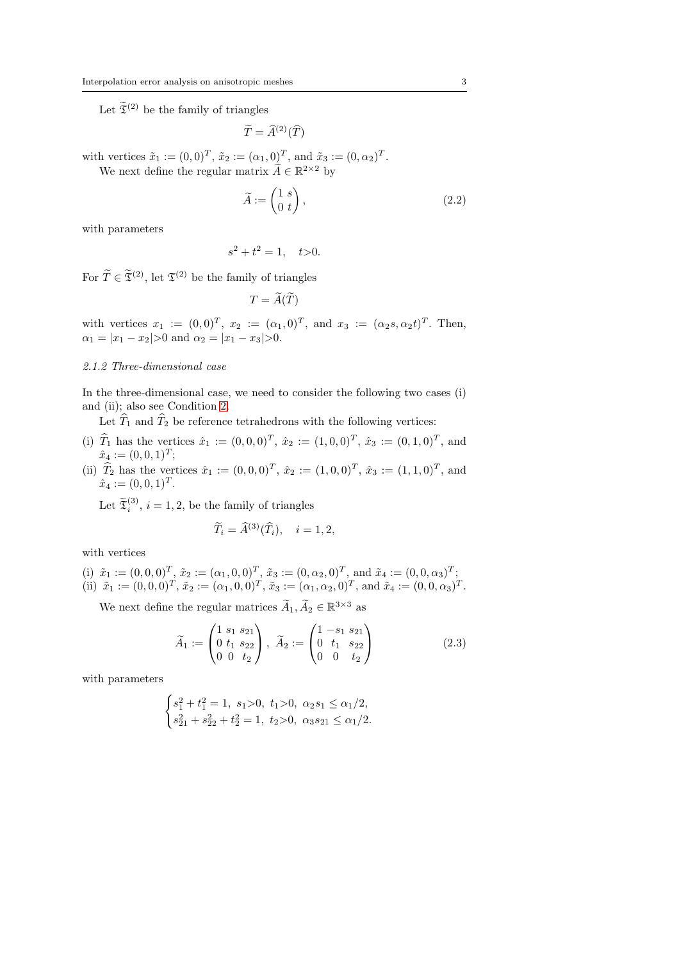Let  $\widetilde{\mathfrak{T}}^{(2)}$  be the family of triangles

 $\widetilde{T}=\widehat{A}^{(2)}(\widehat{T})$ 

with vertices  $\tilde{x}_1 := (0,0)^T$ ,  $\tilde{x}_2 := (\alpha_1, 0)^T$ , and  $\tilde{x}_3 := (0, \alpha_2)^T$ .

We next define the regular matrix  $\widetilde{A} \in \mathbb{R}^{2 \times 2}$  by

$$
\widetilde{A} := \begin{pmatrix} 1 & s \\ 0 & t \end{pmatrix},\tag{2.2}
$$

with parameters

$$
s^2 + t^2 = 1, \quad t > 0.
$$

For  $\widetilde{T} \in \widetilde{\mathfrak{T}}^{(2)}$ , let  $\mathfrak{T}^{(2)}$  be the family of triangles

$$
T=\widetilde{A}(\widetilde{T})
$$

with vertices  $x_1 := (0,0)^T$ ,  $x_2 := (\alpha_1, 0)^T$ , and  $x_3 := (\alpha_2, \alpha_2 t)^T$ . Then,  $\alpha_1 = |x_1 - x_2| > 0$  and  $\alpha_2 = |x_1 - x_3| > 0$ .

#### <span id="page-2-0"></span>2.1.2 Three-dimensional case

In the three-dimensional case, we need to consider the following two cases (i) and (ii); also see Condition [2.](#page-3-0)

Let  $\widehat{T}_1$  and  $\widehat{T}_2$  be reference tetrahedrons with the following vertices:

- (i)  $\hat{T}_1$  has the vertices  $\hat{x}_1 := (0, 0, 0)^T$ ,  $\hat{x}_2 := (1, 0, 0)^T$ ,  $\hat{x}_3 := (0, 1, 0)^T$ , and  $\hat{x}_4 := (0,0,1)^T;$
- (ii)  $\hat{T}_2$  has the vertices  $\hat{x}_1 := (0, 0, 0)^T$ ,  $\hat{x}_2 := (1, 0, 0)^T$ ,  $\hat{x}_3 := (1, 1, 0)^T$ , and  $\hat{x}_4 := (0,0,1)^T.$

Let  $\widetilde{\mathfrak{X}}_i^{(3)}$ ,  $i = 1, 2$ , be the family of triangles

$$
\widetilde{T}_i = \widehat{A}^{(3)}(\widehat{T}_i), \quad i = 1, 2,
$$

with vertices

(i) 
$$
\tilde{x}_1 := (0,0,0)^T
$$
,  $\tilde{x}_2 := (\alpha_1, 0, 0)^T$ ,  $\tilde{x}_3 := (0, \alpha_2, 0)^T$ , and  $\tilde{x}_4 := (0, 0, \alpha_3)^T$ ;  
\n(ii)  $\tilde{x}_1 := (0,0,0)^T$ ,  $\tilde{x}_2 := (\alpha_1, 0, 0)^T$ ,  $\tilde{x}_3 := (\alpha_1, \alpha_2, 0)^T$ , and  $\tilde{x}_4 := (0, 0, \alpha_3)^T$ .

We next define the regular matrices  $\widetilde{A}_1, \widetilde{A}_2 \in \mathbb{R}^{3 \times 3}$  as

$$
\widetilde{A}_1 := \begin{pmatrix} 1 & s_1 & s_{21} \\ 0 & t_1 & s_{22} \\ 0 & 0 & t_2 \end{pmatrix}, \ \widetilde{A}_2 := \begin{pmatrix} 1 & -s_1 & s_{21} \\ 0 & t_1 & s_{22} \\ 0 & 0 & t_2 \end{pmatrix}
$$
\n(2.3)

with parameters

$$
\begin{cases} s_1^2+t_1^2=1,\ s_1{>}0,\ t_1{>}0,\ \alpha_2s_1\leq\alpha_1/2,\\ s_{21}^2+s_{22}^2+t_2^2=1,\ t_2{>}0,\ \alpha_3s_{21}\leq\alpha_1/2. \end{cases}
$$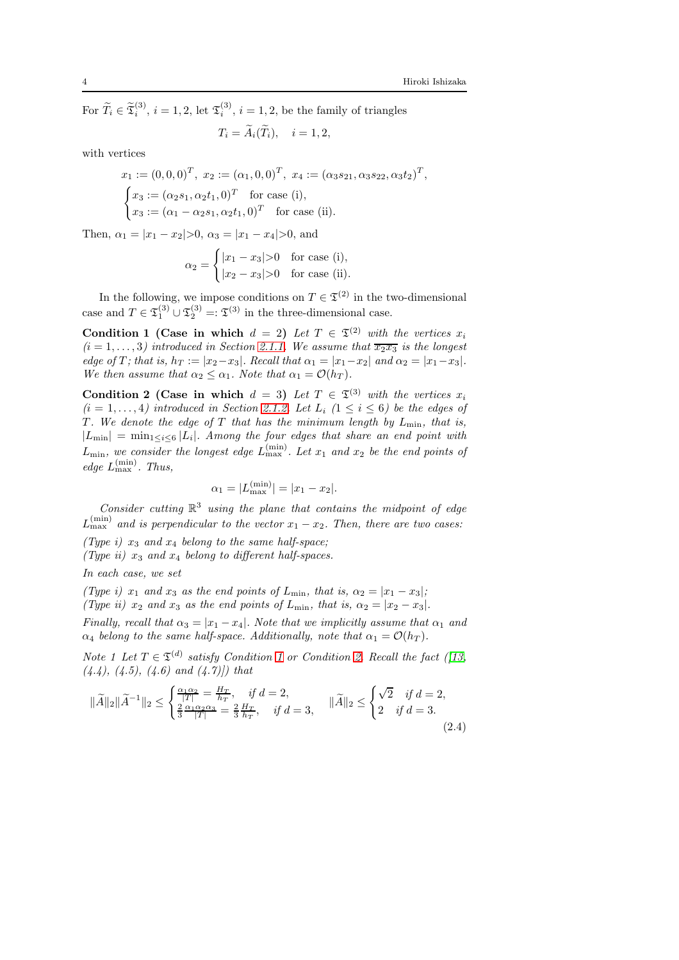For  $\widetilde{T}_i \in \widetilde{\mathfrak{T}}_i^{(3)}$ ,  $i = 1, 2$ , let  $\mathfrak{T}_i^{(3)}$ ,  $i = 1, 2$ , be the family of triangles  $T_i = \widetilde{A}_i(\widetilde{T}_i), \quad i = 1, 2,$ 

with vertices

$$
x_1 := (0,0,0)^T, \ x_2 := (\alpha_1, 0, 0)^T, \ x_4 := (\alpha_3 s_{21}, \alpha_3 s_{22}, \alpha_3 t_2)^T,
$$
  
\n
$$
\begin{cases}\nx_3 := (\alpha_2 s_1, \alpha_2 t_1, 0)^T \text{ for case (i)},\\
x_3 := (\alpha_1 - \alpha_2 s_1, \alpha_2 t_1, 0)^T \text{ for case (ii)}.\n\end{cases}
$$

Then,  $\alpha_1 = |x_1 - x_2| > 0$ ,  $\alpha_3 = |x_1 - x_4| > 0$ , and

$$
\alpha_2 = \begin{cases} |x_1 - x_3| > 0 & \text{for case (i)}, \\ |x_2 - x_3| > 0 & \text{for case (ii)}. \end{cases}
$$

<span id="page-3-1"></span>In the following, we impose conditions on  $T \in \mathfrak{T}^{(2)}$  in the two-dimensional case and  $T \in \mathfrak{T}_1^{(3)} \cup \mathfrak{T}_2^{(3)} =: \mathfrak{T}^{(3)}$  in the three-dimensional case.

Condition 1 (Case in which  $d = 2$ ) Let  $T \in \mathfrak{T}^{(2)}$  with the vertices  $x_i$  $(i = 1, \ldots, 3)$  introduced in Section [2.1.1.](#page-1-0) We assume that  $\overline{x_2 x_3}$  is the longest edge of T; that is,  $h_T := |x_2-x_3|$ . Recall that  $\alpha_1 = |x_1-x_2|$  and  $\alpha_2 = |x_1-x_3|$ . We then assume that  $\alpha_2 \leq \alpha_1$ . Note that  $\alpha_1 = \mathcal{O}(h_T)$ .

<span id="page-3-0"></span>Condition 2 (Case in which  $d = 3$ ) Let  $T \in \mathfrak{T}^{(3)}$  with the vertices  $x_i$  $(i = 1, \ldots, 4)$  introduced in Section [2.1.2.](#page-2-0) Let  $L_i$   $(1 \leq i \leq 6)$  be the edges of T. We denote the edge of T that has the minimum length by  $L_{\text{min}}$ , that is,  $|L_{\min}| = \min_{1 \leq i \leq 6} |L_i|$ . Among the four edges that share an end point with  $L_{\text{min}}$ , we consider the longest edge  $L_{\text{max}}^{(\text{min})}$ . Let  $x_1$  and  $x_2$  be the end points of edge  $L_{\text{max}}^{\text{(min)}}$ . Thus,

<span id="page-3-2"></span>
$$
\alpha_1 = |L_{\text{max}}^{(\text{min})}| = |x_1 - x_2|.
$$

Consider cutting  $\mathbb{R}^3$  using the plane that contains the midpoint of edge  $L_{\text{max}}^{(\text{min})}$  and is perpendicular to the vector  $x_1 - x_2$ . Then, there are two cases:

(Type i)  $x_3$  and  $x_4$  belong to the same half-space;

(Type ii)  $x_3$  and  $x_4$  belong to different half-spaces.

In each case, we set

(Type i)  $x_1$  and  $x_3$  as the end points of  $L_{\min}$ , that is,  $\alpha_2 = |x_1 - x_3|$ ; (Type ii)  $x_2$  and  $x_3$  as the end points of  $L_{\text{min}}$ , that is,  $\alpha_2 = |x_2 - x_3|$ . Finally, recall that  $\alpha_3 = |x_1 - x_4|$ . Note that we implicitly assume that  $\alpha_1$  and  $\alpha_4$  belong to the same half-space. Additionally, note that  $\alpha_1 = \mathcal{O}(h_T)$ .

Note [1](#page-3-1) Let  $T \in \mathfrak{T}^{(d)}$  satisfy Condition 1 or Condition [2.](#page-3-0) Recall the fact ([\[13,](#page-27-5)  $(4.4), (4.5), (4.6)$  and  $(4.7)$  that

$$
\|\widetilde{A}\|_{2}\|\widetilde{A}^{-1}\|_{2} \leq \begin{cases} \frac{\alpha_{1}\alpha_{2}}{|T|} = \frac{H_{T}}{h_{T}}, & \text{if } d = 2, \\ \frac{2}{3}\frac{\alpha_{1}\alpha_{2}\alpha_{3}}{|T|} = \frac{2}{3}\frac{H_{T}}{h_{T}}, & \text{if } d = 3, \end{cases} \quad \|\widetilde{A}\|_{2} \leq \begin{cases} \sqrt{2} & \text{if } d = 2, \\ 2 & \text{if } d = 3. \end{cases}
$$
\n(2.4)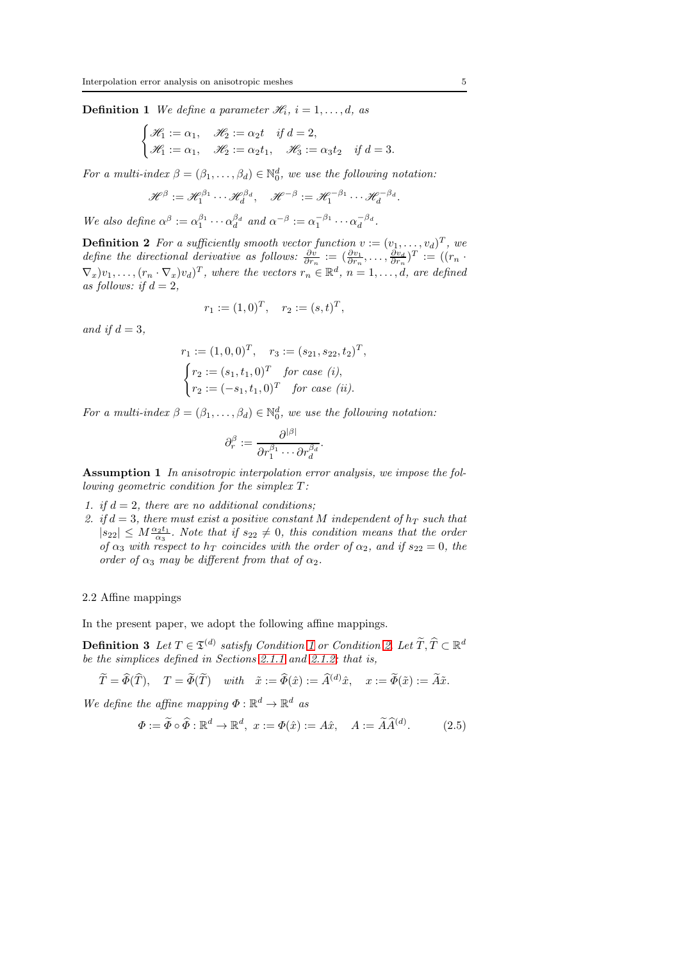**Definition 1** We define a parameter  $\mathcal{H}_i$ ,  $i = 1, \ldots, d$ , as

$$
\begin{cases} \mathcal{H}_1 := \alpha_1, & \mathcal{H}_2 := \alpha_2 t & \text{if } d = 2, \\ \mathcal{H}_1 := \alpha_1, & \mathcal{H}_2 := \alpha_2 t_1, & \mathcal{H}_3 := \alpha_3 t_2 & \text{if } d = 3. \end{cases}
$$

For a multi-index  $\beta = (\beta_1, \ldots, \beta_d) \in \mathbb{N}_0^d$ , we use the following notation:

$$
\mathscr{H}^{\beta} := \mathscr{H}_1^{\beta_1} \cdots \mathscr{H}_d^{\beta_d}, \quad \mathscr{H}^{-\beta} := \mathscr{H}_1^{-\beta_1} \cdots \mathscr{H}_d^{-\beta_d}
$$

We also define  $\alpha^{\beta} := \alpha_1^{\beta_1} \cdots \alpha_d^{\beta_d}$  and  $\alpha^{-\beta} := \alpha_1^{-\beta_1} \cdots \alpha_d^{-\beta_d}$ .

**Definition 2** For a sufficiently smooth vector function  $v := (v_1, \ldots, v_d)^T$ , we define the directional derivative as follows:  $\frac{\partial v}{\partial r_n} := (\frac{\partial v_1}{\partial r_n}, \dots, \frac{\partial v_d}{\partial r_n})^T := ((r_n \cdot$  $(\nabla_x)v_1, \ldots, (r_n \cdot \nabla_x)v_d)^T$ , where the vectors  $r_n \in \mathbb{R}^d$ ,  $n = 1, \ldots, d$ , are defined as follows: if  $d = 2$ ,

$$
r_1 := (1,0)^T, \quad r_2 := (s,t)^T,
$$

and if  $d = 3$ ,

$$
r_1 := (1, 0, 0)^T, \quad r_3 := (s_{21}, s_{22}, t_2)^T,
$$
  
\n
$$
\begin{cases}\nr_2 := (s_1, t_1, 0)^T \quad \text{for case } (i), \\
r_2 := (-s_1, t_1, 0)^T \quad \text{for case } (ii).\n\end{cases}
$$

For a multi-index  $\beta = (\beta_1, \ldots, \beta_d) \in \mathbb{N}_0^d$ , we use the following notation:

$$
\partial_r^{\beta} := \frac{\partial^{|\beta|}}{\partial r_1^{\beta_1} \cdots \partial r_d^{\beta_d}}.
$$

<span id="page-4-1"></span>Assumption 1 In anisotropic interpolation error analysis, we impose the following geometric condition for the simplex  $T$ :

- 1. if  $d = 2$ , there are no additional conditions;
- 2. if  $d = 3$ , there must exist a positive constant M independent of  $h_T$  such that  $|s_{22}| \leq M \frac{\alpha_2 t_1}{\alpha_3}$ . Note that if  $s_{22} \neq 0$ , this condition means that the order of  $\alpha_3$  with respect to  $h_T$  coincides with the order of  $\alpha_2$ , and if  $s_{22} = 0$ , the order of  $\alpha_3$  may be different from that of  $\alpha_2$ .

### 2.2 Affine mappings

<span id="page-4-0"></span>In the present paper, we adopt the following affine mappings.

**Definition 3** Let  $T \in \mathfrak{T}^{(d)}$  satisfy Condition [1](#page-3-1) or Condition [2.](#page-3-0) Let  $\widetilde{T}, \widehat{T} \subset \mathbb{R}^d$ be the simplices defined in Sections [2.1.1](#page-1-0) and [2.1.2;](#page-2-0) that is,

$$
\widetilde{T} = \widehat{\Phi}(\widehat{T}), \quad T = \widetilde{\Phi}(\widetilde{T}) \quad with \quad \widetilde{x} := \widehat{\Phi}(\widehat{x}) := \widehat{A}^{(d)}\widehat{x}, \quad x := \widetilde{\Phi}(\widetilde{x}) := \widetilde{A}\widetilde{x}.
$$

We define the affine mapping  $\Phi : \mathbb{R}^d \to \mathbb{R}^d$  as

$$
\Phi := \widetilde{\Phi} \circ \widehat{\Phi} : \mathbb{R}^d \to \mathbb{R}^d, \ x := \Phi(\hat{x}) := A\hat{x}, \quad A := \widetilde{A}\widehat{A}^{(d)}.
$$
 (2.5)

.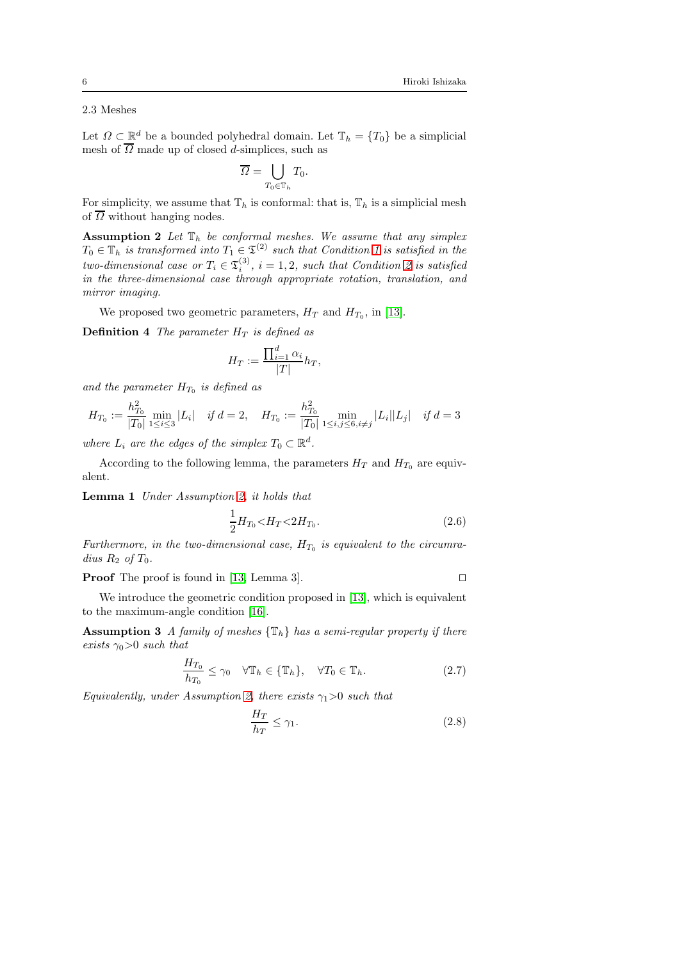2.3 Meshes

Let  $\Omega \subset \mathbb{R}^d$  be a bounded polyhedral domain. Let  $\mathbb{T}_h = \{T_0\}$  be a simplicial mesh of  $\overline{\Omega}$  made up of closed d-simplices, such as

$$
\overline{\varOmega} = \bigcup_{T_0 \in \mathbb{T}_h} T_0.
$$

<span id="page-5-2"></span>For simplicity, we assume that  $\mathbb{T}_h$  is conformal: that is,  $\mathbb{T}_h$  is a simplicial mesh of  $\overline{\Omega}$  without hanging nodes.

**Assumption 2** Let  $\mathbb{T}_h$  be conformal meshes. We assume that any simplex  $T_0 \in \mathbb{T}_h$  is transformed into  $T_1 \in \mathfrak{T}^{(2)}$  such that Condition [1](#page-3-1) is satisfied in the two-dimensional case or  $T_i \in \mathfrak{T}_i^{(3)}$ ,  $i = 1, 2$  $i = 1, 2$ , such that Condition 2 is satisfied in the three-dimensional case through appropriate rotation, translation, and mirror imaging.

<span id="page-5-0"></span>We proposed two geometric parameters,  $H_T$  and  $H_{T_0}$ , in [\[13\]](#page-27-5).

**Definition 4** The parameter  $H_T$  is defined as

$$
H_T := \frac{\prod_{i=1}^d \alpha_i}{|T|} h_T,
$$

and the parameter  $H_{T_0}$  is defined as

$$
H_{T_0} := \frac{h_{T_0}^2}{|T_0|} \min_{1 \le i \le 3} |L_i| \quad \text{if } d = 2, \quad H_{T_0} := \frac{h_{T_0}^2}{|T_0|} \min_{1 \le i, j \le 6, i \ne j} |L_i||L_j| \quad \text{if } d = 3
$$

where  $L_i$  are the edges of the simplex  $T_0 \subset \mathbb{R}^d$ .

According to the following lemma, the parameters  $H_T$  and  $H_{T_0}$  are equivalent.

Lemma 1 Under Assumption [2,](#page-5-2) it holds that

$$
\frac{1}{2}H_{T_0} < H_T < 2H_{T_0}.\tag{2.6}
$$

Furthermore, in the two-dimensional case,  $H_{T_0}$  is equivalent to the circumradius  $R_2$  of  $T_0$ .

Proof The proof is found in [\[13,](#page-27-5) Lemma 3]. □

<span id="page-5-1"></span>We introduce the geometric condition proposed in [\[13\]](#page-27-5), which is equivalent to the maximum-angle condition [\[16\]](#page-27-7).

**Assumption 3** A family of meshes  $\{\mathbb{T}_h\}$  has a semi-regular property if there exists  $\gamma_0>0$  such that

$$
\frac{H_{T_0}}{h_{T_0}} \le \gamma_0 \quad \forall \mathbb{T}_h \in \{\mathbb{T}_h\}, \quad \forall T_0 \in \mathbb{T}_h. \tag{2.7}
$$

Equivalently, under Assumption [2,](#page-5-2) there exists  $\gamma_1>0$  such that

$$
\frac{H_T}{h_T} \le \gamma_1. \tag{2.8}
$$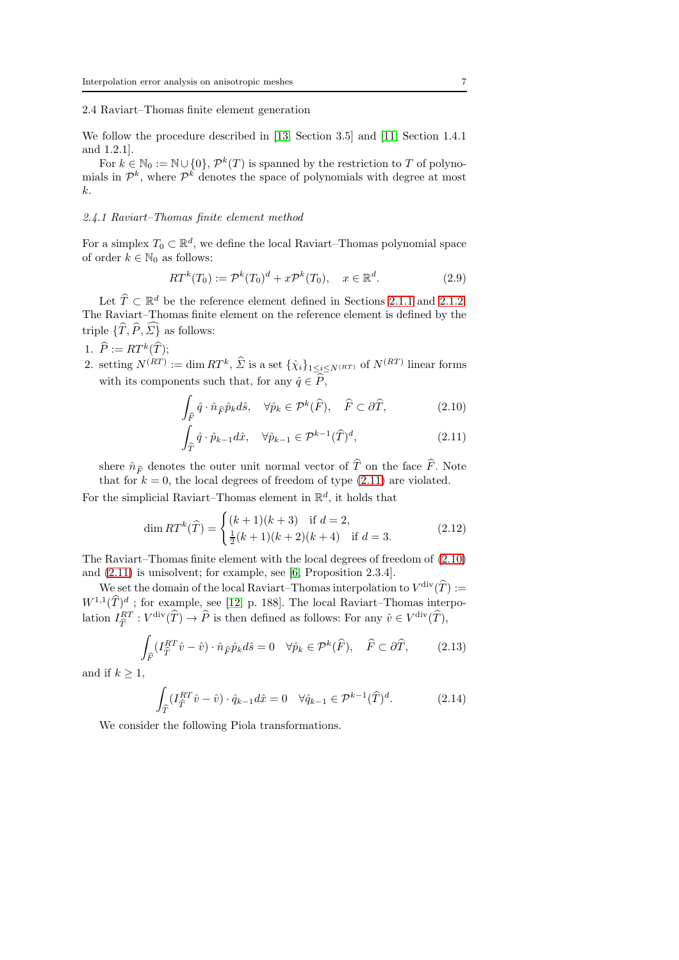#### 2.4 Raviart–Thomas finite element generation

We follow the procedure described in [\[13,](#page-27-5) Section 3.5] and [\[11,](#page-27-8) Section 1.4.1 and 1.2.1].

For  $k \in \mathbb{N}_0 := \mathbb{N} \cup \{0\}, \mathcal{P}^k(T)$  is spanned by the restriction to T of polynomials in  $\mathcal{P}^k$ , where  $\mathcal{P}^k$  denotes the space of polynomials with degree at most  $k<sub>i</sub>$ .

## <span id="page-6-5"></span>2.4.1 Raviart–Thomas finite element method

For a simplex  $T_0 \subset \mathbb{R}^d$ , we define the local Raviart–Thomas polynomial space of order  $k \in \mathbb{N}_0$  as follows:

$$
RT^{k}(T_0) := \mathcal{P}^{k}(T_0)^{d} + x\mathcal{P}^{k}(T_0), \quad x \in \mathbb{R}^{d}.
$$
 (2.9)

Let  $\widehat{T} \subset \mathbb{R}^d$  be the reference element defined in Sections [2.1.1](#page-1-0) and [2.1.2.](#page-2-0) The Raviart–Thomas finite element on the reference element is defined by the triple  $\{\widehat{T}, \widehat{P}, \widehat{\Sigma}\}$  as follows:

# 1.  $\widehat{P} := RT^k(\widehat{T});$

2. setting  $N^{(RT)} := \dim RT^k$ ,  $\hat{\Sigma}$  is a set  $\{\hat{\chi}_i\}_{1 \leq i \leq N^{(RT)}}$  of  $N^{(RT)}$  linear forms with its components such that, for any  $\hat{q} \in \hat{P}$ ,

<span id="page-6-2"></span>
$$
\int_{\widehat{F}} \widehat{q} \cdot \widehat{n}_{\widehat{F}} \widehat{p}_k d\widehat{s}, \quad \forall \widehat{p}_k \in \mathcal{P}^k(\widehat{F}), \quad \widehat{F} \subset \partial \widehat{T}, \tag{2.10}
$$

<span id="page-6-1"></span>
$$
\int_{\widehat{T}} \widehat{q} \cdot \widehat{p}_{k-1} d\widehat{x}, \quad \forall \widehat{p}_{k-1} \in \mathcal{P}^{k-1}(\widehat{T})^d,\tag{2.11}
$$

shere  $\hat{n}_{\hat{F}}$  denotes the outer unit normal vector of  $\hat{T}$  on the face  $\hat{F}$ . Note that for  $k = 0$ , the local degrees of freedom of type [\(2.11\)](#page-6-1) are violated.

For the simplicial Raviart–Thomas element in  $\mathbb{R}^d$ , it holds that

$$
\dim RT^{k}(\widehat{T}) = \begin{cases} (k+1)(k+3) & \text{if } d = 2, \\ \frac{1}{2}(k+1)(k+2)(k+4) & \text{if } d = 3. \end{cases}
$$
 (2.12)

The Raviart–Thomas finite element with the local degrees of freedom of [\(2.10\)](#page-6-2) and [\(2.11\)](#page-6-1) is unisolvent; for example, see [\[6,](#page-27-9) Proposition 2.3.4].

We set the domain of the local Raviart–Thomas interpolation to  $V^{\text{div}}(\hat{T}) :=$  $W^{1,1}(\hat{T})^d$ ; for example, see [\[12,](#page-27-10) p. 188]. The local Raviart–Thomas interpolation  $I_{\hat{T}}^{RT}: V^{\text{div}}(\hat{T}) \to \hat{P}$  is then defined as follows: For any  $\hat{v} \in V^{\text{div}}(\hat{T})$ ,

$$
\int_{\widehat{F}} (I_{\widehat{T}}^{RT}\widehat{v} - \widehat{v}) \cdot \widehat{n}_{\widehat{F}} \widehat{p}_k d\widehat{s} = 0 \quad \forall \widehat{p}_k \in \mathcal{P}^k(\widehat{F}), \quad \widehat{F} \subset \partial \widehat{T}, \tag{2.13}
$$

and if  $k \geq 1$ ,

<span id="page-6-3"></span><span id="page-6-0"></span>
$$
\int_{\widehat{T}} (I_{\widehat{T}}^{RT}\widehat{v} - \widehat{v}) \cdot \widehat{q}_{k-1} d\widehat{x} = 0 \quad \forall \widehat{q}_{k-1} \in \mathcal{P}^{k-1}(\widehat{T})^d. \tag{2.14}
$$

<span id="page-6-4"></span>We consider the following Piola transformations.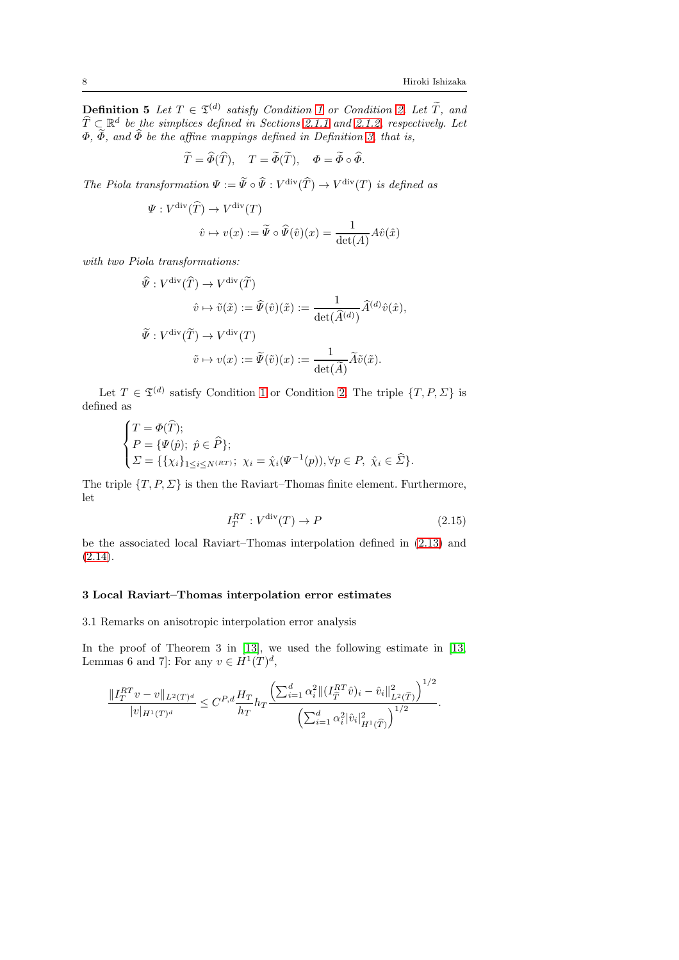**Definition 5** Let  $T \in \mathfrak{T}^{(d)}$  satisfy Condition [1](#page-3-1) or Condition [2.](#page-3-0) Let  $\widetilde{T}$ , and  $\widehat{T} \subset \mathbb{R}^d$  be the simplices defined in Sections [2.1.1](#page-1-0) and [2.1.2,](#page-2-0) respectively. Let  $\Phi$ ,  $\Phi$ , and  $\Phi$  be the affine mappings defined in Definition [3,](#page-4-0) that is,

$$
\widetilde{T} = \widehat{\Phi}(\widehat{T}), \quad T = \widetilde{\Phi}(\widetilde{T}), \quad \Phi = \widetilde{\Phi} \circ \widehat{\Phi}.
$$

The Piola transformation  $\Psi := \tilde{\Psi} \circ \tilde{\Psi} : V^{\text{div}}(\tilde{T}) \to V^{\text{div}}(T)$  is defined as

$$
\Psi : V^{\text{div}}(\widehat{T}) \to V^{\text{div}}(T)
$$

$$
\widehat{v} \mapsto v(x) := \widetilde{\Psi} \circ \widehat{\Psi}(\widehat{v})(x) = \frac{1}{\det(A)} A\widehat{v}(\widehat{x})
$$

with two Piola transformations:

$$
\hat{\Psi}: V^{\text{div}}(\hat{T}) \to V^{\text{div}}(\tilde{T})
$$
\n
$$
\hat{v} \mapsto \tilde{v}(\tilde{x}) := \hat{\Psi}(\hat{v})(\tilde{x}) := \frac{1}{\det(\hat{A}^{(d)})} \hat{A}^{(d)} \hat{v}(\hat{x}),
$$
\n
$$
\tilde{\Psi}: V^{\text{div}}(\tilde{T}) \to V^{\text{div}}(T)
$$
\n
$$
\tilde{v} \mapsto v(x) := \tilde{\Psi}(\tilde{v})(x) := \frac{1}{\det(\tilde{A})} \tilde{A} \tilde{v}(\tilde{x}).
$$

Let  $T \in \mathfrak{T}^{(d)}$  satisfy Condition [1](#page-3-1) or Condition [2.](#page-3-0) The triple  $\{T, P, \Sigma\}$  is defined as

$$
\begin{cases}\nT = \Phi(\widehat{T}); \\
P = \{\Psi(\widehat{p}); \ \widehat{p} \in \widehat{P}\}; \\
\Sigma = \{\{\chi_i\}_{1 \le i \le N^{(RT)}}; \ \chi_i = \widehat{\chi}_i(\Psi^{-1}(p)), \forall p \in P, \ \widehat{\chi}_i \in \widehat{\Sigma}\}.\n\end{cases}
$$

The triple  $\{T, P, \Sigma\}$  is then the Raviart–Thomas finite element. Furthermore, let

<span id="page-7-0"></span>
$$
I_T^{RT}: V^{\text{div}}(T) \to P \tag{2.15}
$$

be the associated local Raviart–Thomas interpolation defined in [\(2.13\)](#page-6-0) and  $(2.14).$  $(2.14).$ 

## 3 Local Raviart–Thomas interpolation error estimates

3.1 Remarks on anisotropic interpolation error analysis

In the proof of Theorem 3 in [\[13\]](#page-27-5), we used the following estimate in [\[13,](#page-27-5) Lemmas 6 and 7]: For any  $v \in H^1(T)^d$ ,

$$
\frac{\|I^{RT}_T v - v\|_{L^2(T)^d}}{|v|_{H^1(T)^d}} \leq C^{P,d} \frac{H_T}{h_T} h_T \frac{\left(\sum_{i=1}^d \alpha_i^2 \|(I^{RT}_{\widehat{T}} \hat{v})_i - \hat{v}_i\|_{L^2(\widehat{T})}^2\right)^{1/2}}{\left(\sum_{i=1}^d \alpha_i^2 |\hat{v}_i|_{H^1(\widehat{T})}^2\right)^{1/2}}.
$$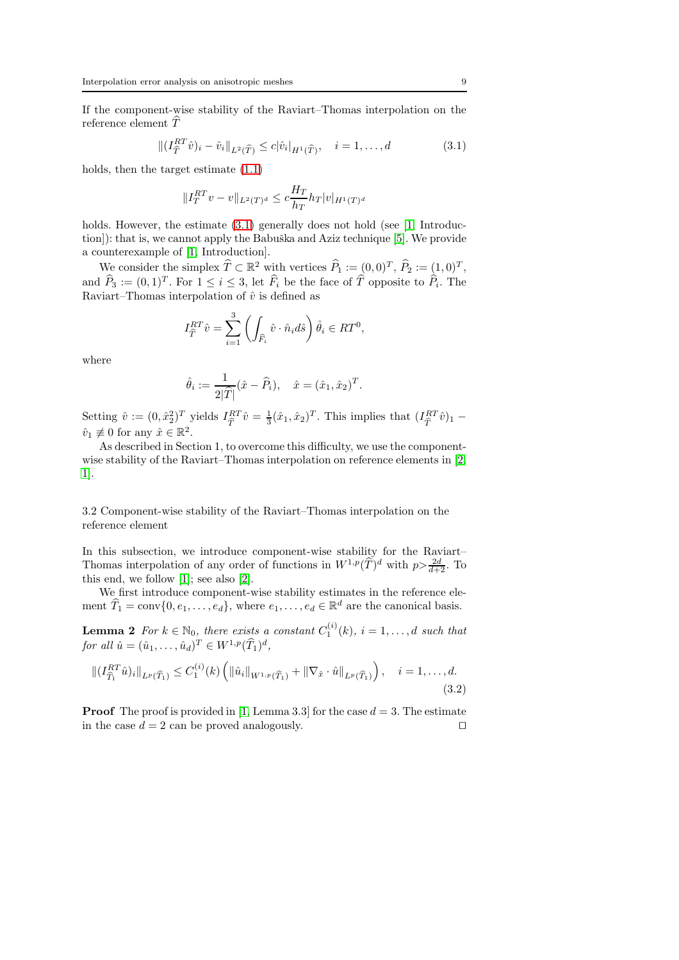If the component-wise stability of the Raviart–Thomas interpolation on the reference element  $\overline{T}$ 

$$
\| (I_{\widehat{T}}^{RT} \widehat{v})_i - \widehat{v}_i \|_{L^2(\widehat{T})} \leq c |\widehat{v}_i|_{H^1(\widehat{T})}, \quad i = 1, ..., d \tag{3.1}
$$

holds, then the target estimate [\(1.1\)](#page-1-1)

<span id="page-8-1"></span>
$$
||I_T^{RT}v - v||_{L^2(T)^d} \le c \frac{H_T}{h_T} h_T |v|_{H^1(T)^d}
$$

holds. However, the estimate  $(3.1)$  generally does not hold (see [\[1,](#page-27-4) Introduc-tion]): that is, we cannot apply the Babuška and Aziz technique [\[5\]](#page-27-0). We provide a counterexample of [\[1,](#page-27-4) Introduction].

We consider the simplex  $\widehat{T} \subset \mathbb{R}^2$  with vertices  $\widehat{P}_1 := (0,0)^T, \widehat{P}_2 := (1,0)^T,$ and  $\widehat{P}_3 := (0, 1)^T$ . For  $1 \leq i \leq 3$ , let  $\widehat{F}_i$  be the face of  $\widehat{T}$  opposite to  $\widehat{P}_i$ . The Raviart–Thomas interpolation of  $\hat{v}$  is defined as

$$
I_{\hat{T}}^{RT}\hat{v} = \sum_{i=1}^{3} \left( \int_{\hat{F}_i} \hat{v} \cdot \hat{n}_i d\hat{s} \right) \hat{\theta}_i \in RT^0,
$$

where

$$
\hat{\theta}_i := \frac{1}{2|\widehat{T}|} (\hat{x} - \widehat{P}_i), \quad \hat{x} = (\hat{x}_1, \hat{x}_2)^T.
$$

Setting  $\hat{v} := (0, \hat{x}_2^2)^T$  yields  $I_{\hat{T}}^{RT} \hat{v} = \frac{1}{3} (\hat{x}_1, \hat{x}_2)^T$ . This implies that  $(I_{\hat{T}}^{RT} \hat{v})_1$  –  $\hat{v}_1 \not\equiv 0$  for any  $\hat{x} \in \mathbb{R}^2$ .

As described in Section 1, to overcome this difficulty, we use the componentwise stability of the Raviart–Thomas interpolation on reference elements in [\[2,](#page-27-3) [1\]](#page-27-4).

## 3.2 Component-wise stability of the Raviart–Thomas interpolation on the reference element

In this subsection, we introduce component-wise stability for the Raviart– Thomas interpolation of any order of functions in  $W^{1,p}(\widehat{T})^d$  with  $p>\frac{2d}{d+2}$ . To this end, we follow [\[1\]](#page-27-4); see also [\[2\]](#page-27-3).

<span id="page-8-0"></span>We first introduce component-wise stability estimates in the reference element  $\widehat{T}_1 = \text{conv}\{0, e_1, \ldots, e_d\}$ , where  $e_1, \ldots, e_d \in \mathbb{R}^d$  are the canonical basis.

**Lemma 2** For  $k \in \mathbb{N}_0$ , there exists a constant  $C_1^{(i)}(k)$ ,  $i = 1, \ldots, d$  such that for all  $\hat{u} = (\hat{u}_1, ..., \hat{u}_d)^T \in W^{1,p}(\widehat{T}_1)^d$ ,

<span id="page-8-2"></span>
$$
\| (I_{\widehat{T}_1}^{RT} \hat{u})_i \|_{L^p(\widehat{T}_1)} \le C_1^{(i)}(k) \left( \|\hat{u}_i\|_{W^{1,p}(\widehat{T}_1)} + \|\nabla_{\hat{x}} \cdot \hat{u}\|_{L^p(\widehat{T}_1)} \right), \quad i = 1, \dots, d. \tag{3.2}
$$

**Proof** The proof is provided in [\[1,](#page-27-4) Lemma 3.3] for the case  $d = 3$ . The estimate in the case  $d = 2$  can be proved analogously. □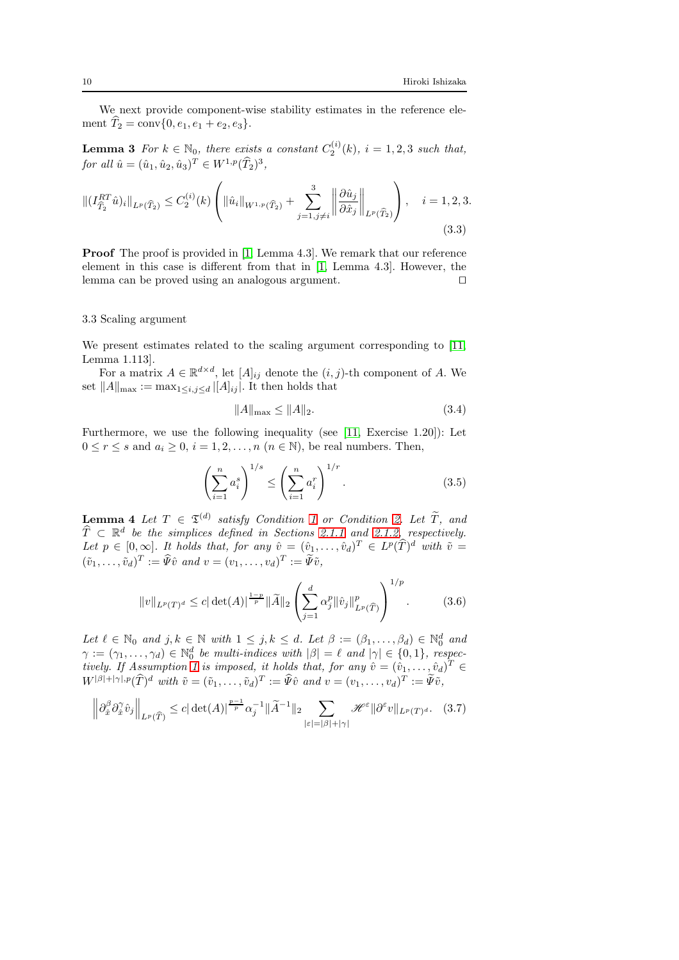<span id="page-9-0"></span>We next provide component-wise stability estimates in the reference element  $\tilde{T}_2 = \text{conv}\{0, e_1, e_1 + e_2, e_3\}.$ 

**Lemma 3** For  $k \in \mathbb{N}_0$ , there exists a constant  $C_2^{(i)}(k)$ ,  $i = 1, 2, 3$  such that, for all  $\hat{u} = (\hat{u}_1, \hat{u}_2, \hat{u}_3)^T \in W^{1,p}(\widehat{T}_2)^3$ ,

$$
\left\| (I_{\widehat{T}_2}^{RT} \hat{u})_i \right\|_{L^p(\widehat{T}_2)} \le C_2^{(i)}(k) \left( \left\| \hat{u}_i \right\|_{W^{1,p}(\widehat{T}_2)} + \sum_{j=1, j \neq i}^3 \left\| \frac{\partial \hat{u}_j}{\partial \hat{x}_j} \right\|_{L^p(\widehat{T}_2)} \right), \quad i = 1, 2, 3.
$$
\n(3.3)

**Proof** The proof is provided in [\[1,](#page-27-4) Lemma 4.3]. We remark that our reference element in this case is different from that in [\[1,](#page-27-4) Lemma 4.3]. However, the lemma can be proved using an analogous argument. ⊓⊔

#### 3.3 Scaling argument

We present estimates related to the scaling argument corresponding to [\[11,](#page-27-8) Lemma 1.113].

For a matrix  $A \in \mathbb{R}^{d \times d}$ , let  $[A]_{ij}$  denote the  $(i, j)$ -th component of A. We set  $||A||_{\text{max}} := \max_{1 \leq i, j \leq d} |[A]_{ij}|$ . It then holds that

<span id="page-9-6"></span><span id="page-9-5"></span><span id="page-9-3"></span>
$$
||A||_{\text{max}} \le ||A||_2. \tag{3.4}
$$

Furthermore, we use the following inequality (see [\[11,](#page-27-8) Exercise 1.20]): Let  $0 \le r \le s$  and  $a_i \ge 0$ ,  $i = 1, 2, ..., n$   $(n \in \mathbb{N})$ , be real numbers. Then,

<span id="page-9-2"></span>
$$
\left(\sum_{i=1}^{n} a_i^s\right)^{1/s} \le \left(\sum_{i=1}^{n} a_i^r\right)^{1/r}.
$$
\n(3.5)

<span id="page-9-1"></span>**Lemma 4** Let  $T \in \mathfrak{T}^{(d)}$  satisfy Condition [1](#page-3-1) or Condition [2.](#page-3-0) Let  $\widetilde{T}$ , and  $\widehat{T} \subset \mathbb{R}^d$  be the simplices defined in Sections [2.1.1](#page-1-0) and [2.1.2,](#page-2-0) respectively. Let  $p \in [0,\infty]$ . It holds that, for any  $\hat{v} = (\hat{v}_1,\ldots,\hat{v}_d)^T \in L^p(\widehat{T})^d$  with  $\tilde{v} =$  $(\tilde{v}_1, \ldots, \tilde{v}_d)^T := \tilde{\Psi}\hat{v}$  and  $v = (v_1, \ldots, v_d)^T := \tilde{\Psi}\tilde{v}$ ,

<span id="page-9-4"></span>
$$
||v||_{L^{p}(T)^{d}} \leq c|\det(A)|^{\frac{1-p}{p}}||\widetilde{A}||_{2}\left(\sum_{j=1}^{d}\alpha_{j}^{p}||\hat{v}_{j}||_{L^{p}(\widehat{T})}^{p}\right)^{1/p}.
$$
 (3.6)

Let  $\ell \in \mathbb{N}_0$  and  $j, k \in \mathbb{N}$  with  $1 \leq j, k \leq d$ . Let  $\beta := (\beta_1, \ldots, \beta_d) \in \mathbb{N}_0^d$  and  $\gamma := (\gamma_1, \ldots, \gamma_d) \in \mathbb{N}_0^d$  be multi-indices with  $|\beta| = \ell$  and  $|\gamma| \in \{0, 1\}$ , respec-tively. If Assumption [1](#page-4-1) is imposed, it holds that, for any  $\hat{v} = (\hat{v}_1, \dots, \hat{v}_d)^T \in$  $W^{|\beta|+|\gamma|,p}(\widehat{T})^d$  with  $\tilde{v}=(\tilde{v}_1,\ldots,\tilde{v}_d)^T:=\widehat{\Psi}\hat{v}$  and  $v=(v_1,\ldots,v_d)^T:=\widetilde{\Psi}\tilde{v}$ ,

$$
\left\|\partial_{\hat{x}}^{\beta}\partial_{\hat{x}}^{\gamma}\hat{v}_{j}\right\|_{L^{p}(\widehat{T})}\leq c|\det(A)|^{\frac{p-1}{p}}\alpha_{j}^{-1}\|\widetilde{A}^{-1}\|_{2}\sum_{|\varepsilon|=|\beta|+|\gamma|}\mathscr{H}^{\varepsilon}\|\partial^{\varepsilon}v\|_{L^{p}(T)^{d}}.\tag{3.7}
$$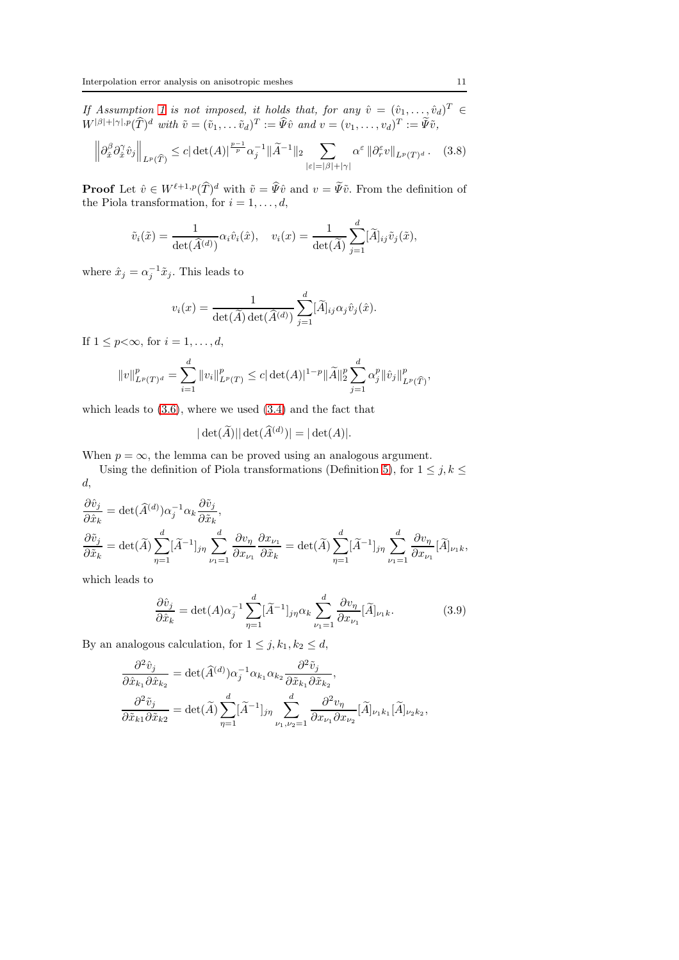If Assumption [1](#page-4-1) is not imposed, it holds that, for any  $\hat{v} = (\hat{v}_1, \dots, \hat{v}_d)^T \in$  $W^{|\beta|+|\gamma|,p}(\widehat{T})^d$  with  $\tilde{v}=(\tilde{v}_1,\ldots,\tilde{v}_d)^T:=\widehat{\Psi}\hat{v}$  and  $v=(v_1,\ldots,v_d)^T:=\widetilde{\Psi}\tilde{v}$ ,

$$
\left\|\partial_{\hat{x}}^{\beta}\partial_{\hat{x}}^{\gamma}\hat{v}_{j}\right\|_{L^{p}(\widehat{T})}\leq c|\det(A)|^{\frac{p-1}{p}}\alpha_{j}^{-1}\|\widetilde{A}^{-1}\|_{2}\sum_{|\varepsilon|=|\beta|+|\gamma|}\alpha^{\varepsilon}\|\partial_{r}^{\varepsilon}v\|_{L^{p}(T)^{d}}.\tag{3.8}
$$

**Proof** Let  $\hat{v} \in W^{\ell+1,p}(\hat{T})^d$  with  $\tilde{v} = \tilde{\Psi}\hat{v}$  and  $v = \tilde{\Psi}\tilde{v}$ . From the definition of the Piola transformation, for  $i = 1, \ldots, d$ ,

$$
\tilde{v}_i(\tilde{x}) = \frac{1}{\det(\tilde{A}^{(d)})} \alpha_i \hat{v}_i(\hat{x}), \quad v_i(x) = \frac{1}{\det(\tilde{A})} \sum_{j=1}^d [\tilde{A}]_{ij} \tilde{v}_j(\tilde{x}),
$$

where  $\hat{x}_j = \alpha_j^{-1} \tilde{x}_j$ . This leads to

<span id="page-10-1"></span>
$$
v_i(x) = \frac{1}{\det(\widetilde{A}) \det(\widehat{A}^{(d)})} \sum_{j=1}^d [\widetilde{A}]_{ij} \alpha_j \hat{v}_j(\hat{x}).
$$

If  $1 \leq p < \infty$ , for  $i = 1, \ldots, d$ ,

$$
||v||_{L^p(T)^d}^p = \sum_{i=1}^d ||v_i||_{L^p(T)}^p \le c |\det(A)|^{1-p} ||\widetilde{A}||_2^p \sum_{j=1}^d \alpha_j^p ||\hat{v}_j||_{L^p(\widehat{T})}^p,
$$

which leads to  $(3.6)$ , where we used  $(3.4)$  and the fact that

$$
|\det(\widetilde{A})||\det(\widehat{A}^{(d)})| = |\det(A)|.
$$

When  $p = \infty$ , the lemma can be proved using an analogous argument.

Using the definition of Piola transformations (Definition [5\)](#page-6-4), for  $1 \le j, k \le k$ d,

$$
\begin{aligned} &\frac{\partial \hat{v}_j}{\partial \hat{x}_k}=\det(\widehat{A}^{(d)})\alpha_j^{-1}\alpha_k\frac{\partial \tilde{v}_j}{\partial \tilde{x}_k},\\ &\frac{\partial \tilde{v}_j}{\partial \tilde{x}_k}=\det(\tilde{A})\sum_{\eta=1}^d[\widetilde{A}^{-1}]_{j\eta}\sum_{\nu_1=1}^d\frac{\partial v_\eta}{\partial x_{\nu_1}}\frac{\partial x_{\nu_1}}{\partial \tilde{x}_k}=\det(\tilde{A})\sum_{\eta=1}^d[\widetilde{A}^{-1}]_{j\eta}\sum_{\nu_1=1}^d\frac{\partial v_\eta}{\partial x_{\nu_1}}[\widetilde{A}]_{\nu_1 k}, \end{aligned}
$$

which leads to

<span id="page-10-0"></span>
$$
\frac{\partial \hat{v}_j}{\partial \hat{x}_k} = \det(A)\alpha_j^{-1} \sum_{\eta=1}^d [\widetilde{A}^{-1}]_{j\eta} \alpha_k \sum_{\nu_1=1}^d \frac{\partial v_\eta}{\partial x_{\nu_1}} [\widetilde{A}]_{\nu_1 k}.
$$
(3.9)

By an analogous calculation, for  $1 \leq j, k_1, k_2 \leq d$ ,

$$
\frac{\partial^2 \hat{v}_j}{\partial \hat{x}_{k_1} \partial \hat{x}_{k_2}} = \det(\widehat{A}^{(d)}) \alpha_j^{-1} \alpha_{k_1} \alpha_{k_2} \frac{\partial^2 \tilde{v}_j}{\partial \tilde{x}_{k_1} \partial \tilde{x}_{k_2}},
$$

$$
\frac{\partial^2 \tilde{v}_j}{\partial \tilde{x}_{k_1} \partial \tilde{x}_{k_2}} = \det(\widetilde{A}) \sum_{\eta=1}^d [\widetilde{A}^{-1}]_{j\eta} \sum_{\nu_1, \nu_2=1}^d \frac{\partial^2 v_\eta}{\partial x_{\nu_1} \partial x_{\nu_2}} [\widetilde{A}]_{\nu_1 k_1} [\widetilde{A}]_{\nu_2 k_2},
$$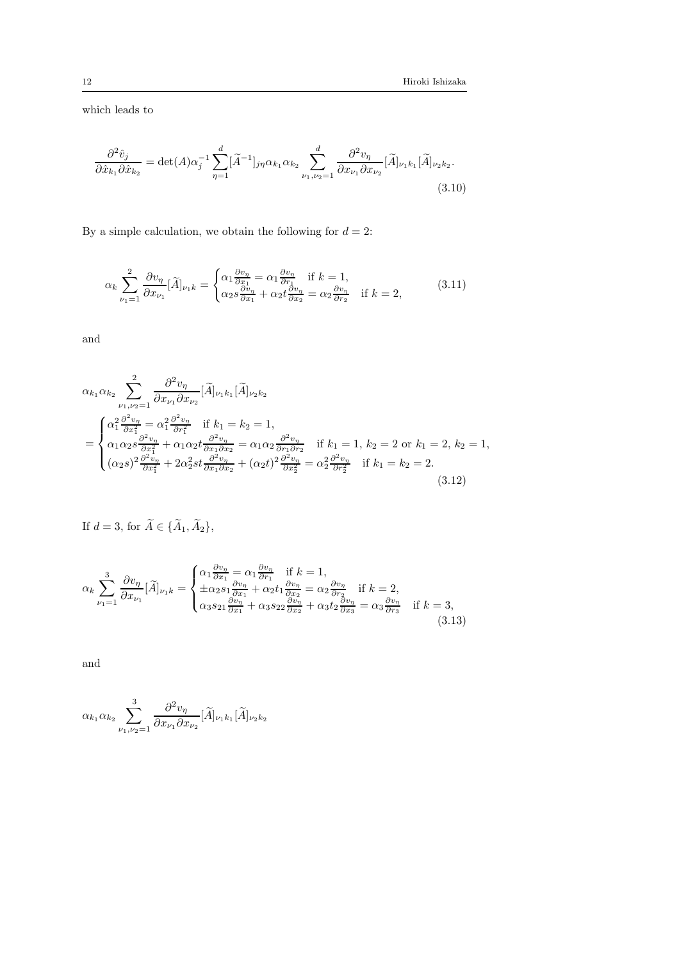which leads to

<span id="page-11-1"></span>
$$
\frac{\partial^2 \hat{v}_j}{\partial \hat{x}_{k_1} \partial \hat{x}_{k_2}} = \det(A) \alpha_j^{-1} \sum_{\eta=1}^d [\widetilde{A}^{-1}]_{j\eta} \alpha_{k_1} \alpha_{k_2} \sum_{\nu_1, \nu_2=1}^d \frac{\partial^2 v_{\eta}}{\partial x_{\nu_1} \partial x_{\nu_2}} [\widetilde{A}]_{\nu_1 k_1} [\widetilde{A}]_{\nu_2 k_2}.
$$
\n(3.10)

By a simple calculation, we obtain the following for  $d = 2$ :

<span id="page-11-0"></span>
$$
\alpha_k \sum_{\nu_1=1}^2 \frac{\partial v_{\eta}}{\partial x_{\nu_1}} [\widetilde{A}]_{\nu_1 k} = \begin{cases} \alpha_1 \frac{\partial v_{\eta}}{\partial x_1} = \alpha_1 \frac{\partial v_{\eta}}{\partial x_1} & \text{if } k=1, \\ \alpha_2 s \frac{\partial v_{\eta}}{\partial x_1} + \alpha_2 t \frac{\partial v_{\eta}}{\partial x_2} = \alpha_2 \frac{\partial v_{\eta}}{\partial x_2} & \text{if } k=2, \end{cases}
$$
(3.11)

and

$$
\alpha_{k_1} \alpha_{k_2} \sum_{\nu_1, \nu_2=1}^{2} \frac{\partial^2 v_{\eta}}{\partial x_{\nu_1} \partial x_{\nu_2}} [\tilde{A}]_{\nu_1 k_1} [\tilde{A}]_{\nu_2 k_2}
$$
\n
$$
= \begin{cases}\n\alpha_1^2 \frac{\partial^2 v_{\eta}}{\partial x_1^2} = \alpha_1^2 \frac{\partial^2 v_{\eta}}{\partial x_1^2} & \text{if } k_1 = k_2 = 1, \\
\alpha_1 \alpha_2 s \frac{\partial^2 v_{\eta}}{\partial x_1^2} + \alpha_1 \alpha_2 t \frac{\partial^2 v_{\eta}}{\partial x_1 \partial x_2} = \alpha_1 \alpha_2 \frac{\partial^2 v_{\eta}}{\partial x_1 \partial x_2} & \text{if } k_1 = 1, k_2 = 2 \text{ or } k_1 = 2, k_2 = 1, \\
(\alpha_2 s)^2 \frac{\partial^2 v_{\eta}}{\partial x_1^2} + 2\alpha_2^2 st \frac{\partial^2 v_{\eta}}{\partial x_1 \partial x_2} + (\alpha_2 t)^2 \frac{\partial^2 v_{\eta}}{\partial x_2^2} = \alpha_2^2 \frac{\partial^2 v_{\eta}}{\partial x_2^2} & \text{if } k_1 = k_2 = 2.\n\end{cases}
$$
\n(3.12)

<span id="page-11-2"></span>If 
$$
d = 3
$$
, for  $\widetilde{A} \in {\widetilde{A}_1, \widetilde{A}_2}$ ,

<span id="page-11-3"></span>
$$
\alpha_k \sum_{\nu_1=1}^3 \frac{\partial v_{\eta}}{\partial x_{\nu_1}} [\tilde{A}]_{\nu_1 k} = \begin{cases} \alpha_1 \frac{\partial v_{\eta}}{\partial x_1} = \alpha_1 \frac{\partial v_{\eta}}{\partial x_1} & \text{if } k = 1, \\ \pm \alpha_2 s_1 \frac{\partial v_{\eta}}{\partial x_1} + \alpha_2 t_1 \frac{\partial v_{\eta}}{\partial x_2} = \alpha_2 \frac{\partial v_{\eta}}{\partial x_2} & \text{if } k = 2, \\ \alpha_3 s_{21} \frac{\partial v_{\eta}}{\partial x_1} + \alpha_3 s_{22} \frac{\partial v_{\eta}}{\partial x_2} + \alpha_3 t_2 \frac{\partial v_{\eta}}{\partial x_3} = \alpha_3 \frac{\partial v_{\eta}}{\partial x_3} & \text{if } k = 3, \end{cases}
$$
(3.13)

and

$$
\alpha_{k_1}\alpha_{k_2}\sum_{\nu_1,\nu_2=1}^3\frac{\partial^2v_{\eta}}{\partial x_{\nu_1}\partial x_{\nu_2}}[\widetilde{A}]_{\nu_1k_1}[\widetilde{A}]_{\nu_2k_2}
$$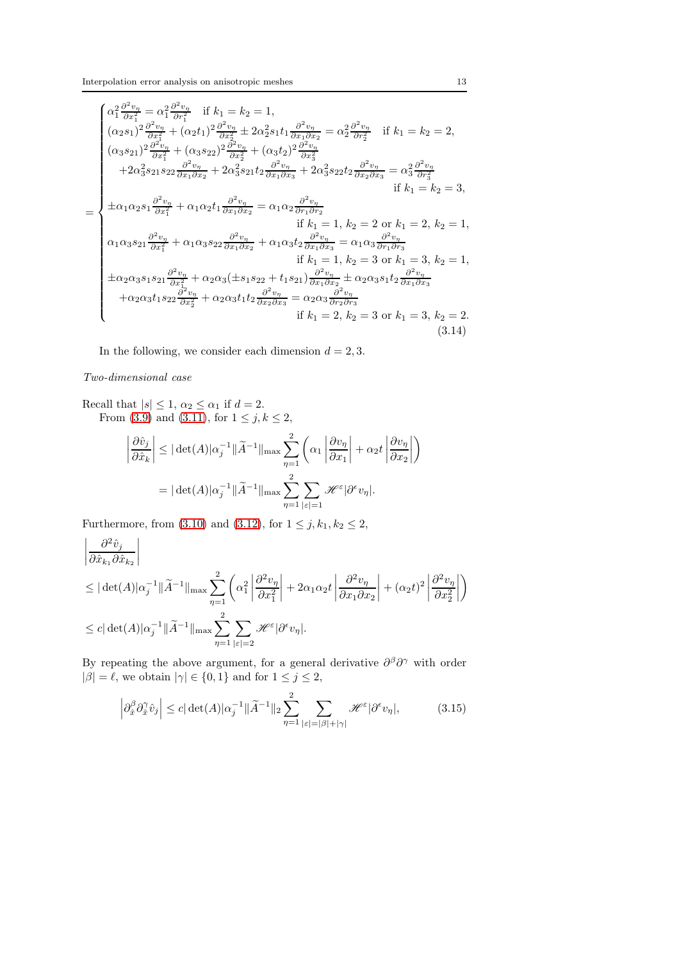$$
\begin{cases}\n\alpha_{1}^{2} \frac{\partial^{2} v_{\eta}}{\partial x_{1}^{2}} - \alpha_{1}^{2} \frac{\partial^{2} v_{\eta}}{\partial x_{1}^{2}} & \text{if } k_{1} = k_{2} = 1, \\
(\alpha_{2} s_{1})^{2} \frac{\partial^{2} v_{\eta}}{\partial x_{1}^{2}} + (\alpha_{2} t_{1})^{2} \frac{\partial^{2} v_{\eta}}{\partial x_{2}^{2}} \pm 2 \alpha_{2}^{2} s_{1} t_{1} \frac{\partial^{2} v_{\eta}}{\partial x_{1} \partial x_{2}} = \alpha_{2}^{2} \frac{\partial^{2} v_{\eta}}{\partial x_{2}^{2}} & \text{if } k_{1} = k_{2} = 2, \\
(\alpha_{3} s_{21})^{2} \frac{\partial^{2} v_{\eta}}{\partial x_{1}^{2}} + (\alpha_{3} s_{22})^{2} \frac{\partial^{2} v_{\eta}}{\partial x_{2}^{2}} + (\alpha_{3} t_{2})^{2} \frac{\partial^{2} v_{\eta}}{\partial x_{3}^{2}} & \text{if } k_{1} = k_{2} = 2, \\
+ 2 \alpha_{3}^{2} s_{21} s_{22} \frac{\partial^{2} v_{\eta}}{\partial x_{1} \partial x_{2}} + 2 \alpha_{3}^{2} s_{21} t_{2} \frac{\partial^{2} v_{\eta}}{\partial x_{1} \partial x_{3}} + 2 \alpha_{3}^{2} s_{22} t_{2} \frac{\partial^{2} v_{\eta}}{\partial x_{2} \partial x_{3}} = \alpha_{3}^{2} \frac{\partial^{2} v_{\eta}}{\partial x_{3}^{2}} & \text{if } k_{1} = k_{2} = 3, \\
\pm \alpha_{1} \alpha_{2} s_{1} \frac{\partial^{2} v_{\eta}}{\partial x_{1}^{2}} + \alpha_{1} \alpha_{2} t_{1} \frac{\partial^{2} v_{\eta}}{\partial x_{1} \partial x_{2}} = \alpha_{1} \alpha_{2} \frac{\partial^{2} v_{\eta}}{\partial x_{1} \partial x_{3}} = \alpha_{1} \alpha_{3} \frac{\partial^{2} v_{\eta}}{\partial x_{1} \partial x_{3}} & \text{if } k_{1} = 1, k_{2} = 2 \text{ or } k_{1} = 2, k_{2} = 1, \\
\alpha_{1} \alpha_{3} s_{21} \frac{\partial
$$

In the following, we consider each dimension  $d = 2, 3$ .

## Two-dimensional case

Recall that  $|s| \leq 1$ ,  $\alpha_2 \leq \alpha_1$  if  $d = 2$ . From [\(3.9\)](#page-10-0) and [\(3.11\)](#page-11-0), for  $1 \le j, k \le 2$ ,

<span id="page-12-1"></span>
$$
\left| \frac{\partial \hat{v}_j}{\partial \hat{x}_k} \right| \leq |\det(A)|\alpha_j^{-1} ||\widetilde{A}^{-1}||_{\max} \sum_{\eta=1}^2 \left( \alpha_1 \left| \frac{\partial v_\eta}{\partial x_1} \right| + \alpha_2 t \left| \frac{\partial v_\eta}{\partial x_2} \right| \right)
$$

$$
= |\det(A)|\alpha_j^{-1} ||\widetilde{A}^{-1}||_{\max} \sum_{\eta=1}^2 \sum_{|\varepsilon|=1} \mathcal{H}^{\varepsilon} |\partial^{\varepsilon} v_\eta|.
$$

Furthermore, from [\(3.10\)](#page-11-1) and [\(3.12\)](#page-11-2), for  $1 \le j, k_1, k_2 \le 2$ ,

$$
\begin{aligned}\n&\left|\frac{\partial^2 \hat{v}_j}{\partial \hat{x}_{k_1} \partial \hat{x}_{k_2}}\right| \\
&\leq |\det(A)|\alpha_j^{-1} \|\tilde{A}^{-1}\|_{\max} \sum_{\eta=1}^2 \left(\alpha_1^2 \left|\frac{\partial^2 v_\eta}{\partial x_1^2}\right| + 2\alpha_1 \alpha_2 t \left|\frac{\partial^2 v_\eta}{\partial x_1 \partial x_2}\right| + (\alpha_2 t)^2 \left|\frac{\partial^2 v_\eta}{\partial x_2^2}\right|\right) \\
&\leq c |\det(A)|\alpha_j^{-1} \|\tilde{A}^{-1}\|_{\max} \sum_{\eta=1}^2 \sum_{|\varepsilon|=2} \mathcal{H}^{\varepsilon} |\partial^{\varepsilon} v_\eta|. \n\end{aligned}
$$

By repeating the above argument, for a general derivative  $\partial^{\beta}\partial^{\gamma}$  with order  $|\beta| = \ell$ , we obtain  $|\gamma| \in \{0, 1\}$  and for  $1 \le j \le 2$ ,

<span id="page-12-0"></span>
$$
\left| \partial_{\hat{x}}^{\beta} \partial_{\hat{x}}^{\gamma} \hat{v}_j \right| \le c |\det(A)| \alpha_j^{-1} \| \widetilde{A}^{-1} \|_2 \sum_{\eta=1}^2 \sum_{|\varepsilon|=|\beta|+|\gamma|} \mathcal{H}^{\varepsilon} |\partial^{\varepsilon} v_{\eta}|, \tag{3.15}
$$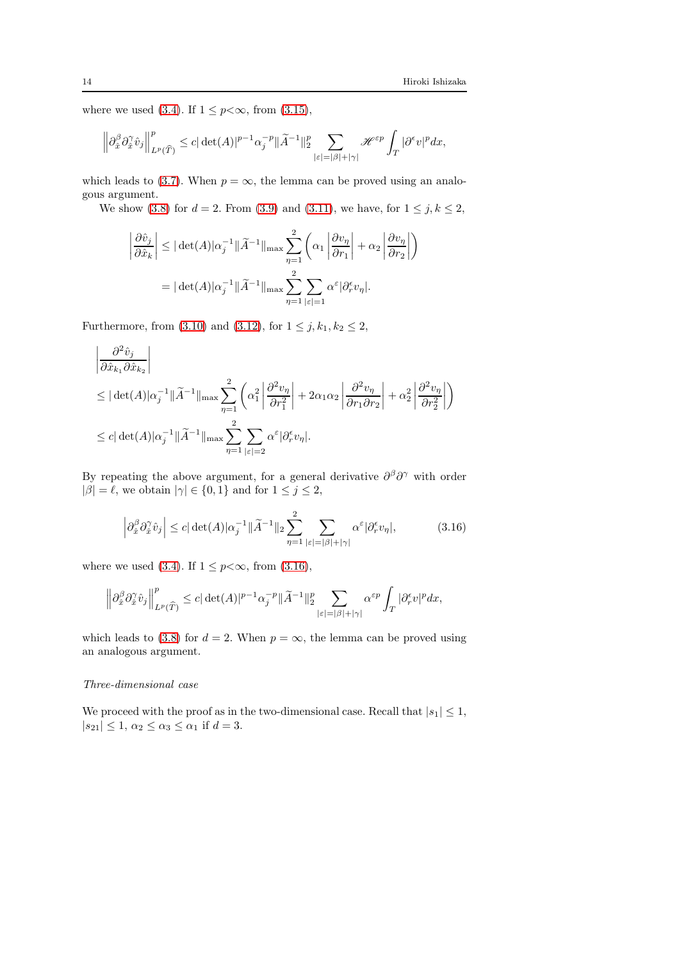<span id="page-13-0"></span> $\overline{ }$ 

where we used [\(3.4\)](#page-9-3). If  $1 \leq p < \infty$ , from [\(3.15\)](#page-12-0),

$$
\left\|\partial_{\hat{x}}^{\beta}\partial_{\hat{x}}^{\gamma}\dot{v}_{j}\right\|_{L^{p}(\widehat{T})}^{p}\leq c|\det(A)|^{p-1}\alpha_{j}^{-p}\|\widetilde{A}^{-1}\|_{2}^{p}\sum_{|\varepsilon|=|\beta|+|\gamma|}\mathscr{H}^{\varepsilon p}\int_{T}|\partial^{\varepsilon}v|^{p}dx,
$$

which leads to [\(3.7\)](#page-9-4). When  $p = \infty$ , the lemma can be proved using an analogous argument.

We show [\(3.8\)](#page-10-1) for  $d = 2$ . From [\(3.9\)](#page-10-0) and [\(3.11\)](#page-11-0), we have, for  $1 \le j, k \le 2$ ,

$$
\left| \frac{\partial \hat{v}_j}{\partial \hat{x}_k} \right| \leq |\det(A)|\alpha_j^{-1} ||\widetilde{A}^{-1}||_{\max} \sum_{\eta=1}^2 \left( \alpha_1 \left| \frac{\partial v_\eta}{\partial r_1} \right| + \alpha_2 \left| \frac{\partial v_\eta}{\partial r_2} \right| \right)
$$

$$
= |\det(A)|\alpha_j^{-1} ||\widetilde{A}^{-1}||_{\max} \sum_{\eta=1}^2 \sum_{|\varepsilon|=1} \alpha^{\varepsilon} |\partial_r^{\varepsilon} v_\eta|.
$$

Furthermore, from [\(3.10\)](#page-11-1) and [\(3.12\)](#page-11-2), for  $1 \le j, k_1, k_2 \le 2$ ,

$$
\begin{aligned} &\left|\frac{\partial^2 \hat{v}_j}{\partial \hat{x}_{k_1} \partial \hat{x}_{k_2}}\right| \\ &\leq |\det(A)|\alpha_j^{-1}\|\tilde{A}^{-1}\|_{\max} \sum_{\eta=1}^2 \left(\alpha_1^2 \left|\frac{\partial^2 v_\eta}{\partial r_1^2}\right| + 2\alpha_1 \alpha_2 \left|\frac{\partial^2 v_\eta}{\partial r_1 \partial r_2}\right| + \alpha_2^2 \left|\frac{\partial^2 v_\eta}{\partial r_2^2}\right|\right) \\ &\leq c |\det(A)|\alpha_j^{-1}\|\tilde{A}^{-1}\|_{\max} \sum_{\eta=1}^2 \sum_{|\varepsilon|=2} \alpha^{\varepsilon} |\partial_r^{\varepsilon} v_\eta|. \end{aligned}
$$

By repeating the above argument, for a general derivative  $\partial^{\beta}\partial^{\gamma}$  with order  $|\beta| = \ell$ , we obtain  $|\gamma| \in \{0, 1\}$  and for  $1 \le j \le 2$ ,

$$
\left|\partial_{\hat{x}}^{\beta}\partial_{\hat{x}}^{\gamma}\hat{v}_{j}\right| \leq c|\det(A)|\alpha_{j}^{-1}||\widetilde{A}^{-1}||_{2}\sum_{\eta=1}^{2}\sum_{|\varepsilon|=|\beta|+|\gamma|}\alpha^{\varepsilon}|\partial_{\tau}^{\varepsilon}v_{\eta}|,\tag{3.16}
$$

where we used [\(3.4\)](#page-9-3). If  $1 \leq p < \infty$ , from [\(3.16\)](#page-13-0),

$$
\left\|\partial_{\hat x}^\beta\partial_{\hat x}^\gamma\hat v_j\right\|_{L^p(\widehat T)}^p\leq c|\det(A)|^{p-1}\alpha_j^{-p}\|\widetilde A^{-1}\|_2^p\sum_{|\varepsilon|=|\beta|+|\gamma|}\alpha^{\varepsilon p}\int_T|\partial_r^\varepsilon v|^pdx,
$$

which leads to [\(3.8\)](#page-10-1) for  $d = 2$ . When  $p = \infty$ , the lemma can be proved using an analogous argument.

## Three-dimensional case

We proceed with the proof as in the two-dimensional case. Recall that  $|s_1| \leq 1$ ,  $|s_{21}| \leq 1, \, \alpha_2 \leq \alpha_3 \leq \alpha_1 \text{ if } d = 3.$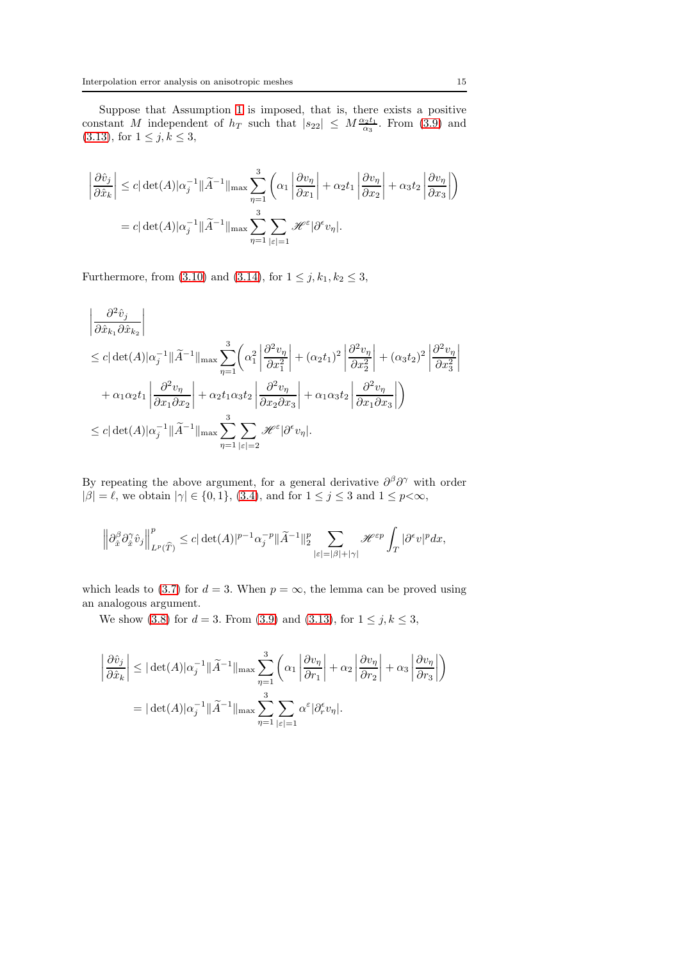Suppose that Assumption [1](#page-4-1) is imposed, that is, there exists a positive constant M independent of  $h_T$  such that  $|s_{22}| \n\t\leq M \frac{\alpha_2 t_1}{\alpha_3}$ . From [\(3.9\)](#page-10-0) and [\(3.13\)](#page-11-3), for  $1 \le j, k \le 3$ ,

$$
\left| \frac{\partial \hat{v}_j}{\partial \hat{x}_k} \right| \leq c |\det(A)| \alpha_j^{-1} ||\widetilde{A}^{-1}||_{\max} \sum_{\eta=1}^3 \left( \alpha_1 \left| \frac{\partial v_\eta}{\partial x_1} \right| + \alpha_2 t_1 \left| \frac{\partial v_\eta}{\partial x_2} \right| + \alpha_3 t_2 \left| \frac{\partial v_\eta}{\partial x_3} \right| \right)
$$
  
= 
$$
c |\det(A)| \alpha_j^{-1} ||\widetilde{A}^{-1}||_{\max} \sum_{\eta=1}^3 \sum_{|\varepsilon|=1} \mathcal{H}^{\varepsilon} |\partial^{\varepsilon} v_\eta|.
$$

Furthermore, from [\(3.10\)](#page-11-1) and [\(3.14\)](#page-12-1), for  $1 \le j, k_1, k_2 \le 3$ ,

$$
\begin{split} &\left|\frac{\partial^2 \hat{v}_j}{\partial \hat{x}_{k_1} \partial \hat{x}_{k_2}}\right| \\ &\leq c|\det(A)|\alpha_j^{-1}\|\tilde{A}^{-1}\|_{\max}\sum_{\eta=1}^3\biggl(\alpha_1^2\left|\frac{\partial^2 v_\eta}{\partial x_1^2}\right| + (\alpha_2 t_1)^2\left|\frac{\partial^2 v_\eta}{\partial x_2^2}\right| + (\alpha_3 t_2)^2\left|\frac{\partial^2 v_\eta}{\partial x_3^2}\right| \\ &+ \alpha_1\alpha_2 t_1\left|\frac{\partial^2 v_\eta}{\partial x_1 \partial x_2}\right| + \alpha_2 t_1\alpha_3 t_2\left|\frac{\partial^2 v_\eta}{\partial x_2 \partial x_3}\right| + \alpha_1\alpha_3 t_2\left|\frac{\partial^2 v_\eta}{\partial x_1 \partial x_3}\right|\biggr) \\ &\leq c|\det(A)|\alpha_j^{-1}\|\tilde{A}^{-1}\|_{\max}\sum_{\eta=1}^3\sum_{\lvert\varepsilon\rvert=2}\mathscr{H}^\varepsilon|\partial^\varepsilon v_\eta|. \end{split}
$$

By repeating the above argument, for a general derivative  $\partial^{\beta}\partial^{\gamma}$  with order  $|\beta| = \ell$ , we obtain  $|\gamma| \in \{0, 1\}$ , [\(3.4\)](#page-9-3), and for  $1 \le j \le 3$  and  $1 \le p < \infty$ ,

$$
\left\|\partial_{\hat x}^\beta\partial_{\hat x}^\gamma\hat v_j\right\|_{L^p(\widehat T)}^p\leq c|\det(A)|^{p-1}\alpha_j^{-p}\|\widetilde A^{-1}\|_2^p\sum_{|\varepsilon|=|\beta|+|\gamma|}\mathscr H^{\varepsilon p}\int_T|\partial^\varepsilon v|^pdx,
$$

which leads to [\(3.7\)](#page-9-4) for  $d = 3$ . When  $p = \infty$ , the lemma can be proved using an analogous argument.

We show [\(3.8\)](#page-10-1) for  $d = 3$ . From [\(3.9\)](#page-10-0) and [\(3.13\)](#page-11-3), for  $1 \le j, k \le 3$ ,

$$
\left| \frac{\partial \hat{v}_j}{\partial \hat{x}_k} \right| \leq |\det(A)|\alpha_j^{-1} ||\widetilde{A}^{-1}||_{\max} \sum_{\eta=1}^3 \left( \alpha_1 \left| \frac{\partial v_\eta}{\partial r_1} \right| + \alpha_2 \left| \frac{\partial v_\eta}{\partial r_2} \right| + \alpha_3 \left| \frac{\partial v_\eta}{\partial r_3} \right| \right)
$$

$$
= |\det(A)|\alpha_j^{-1} ||\widetilde{A}^{-1}||_{\max} \sum_{\eta=1}^3 \sum_{|\varepsilon|=1} \alpha^{\varepsilon} |\partial_r^{\varepsilon} v_\eta|.
$$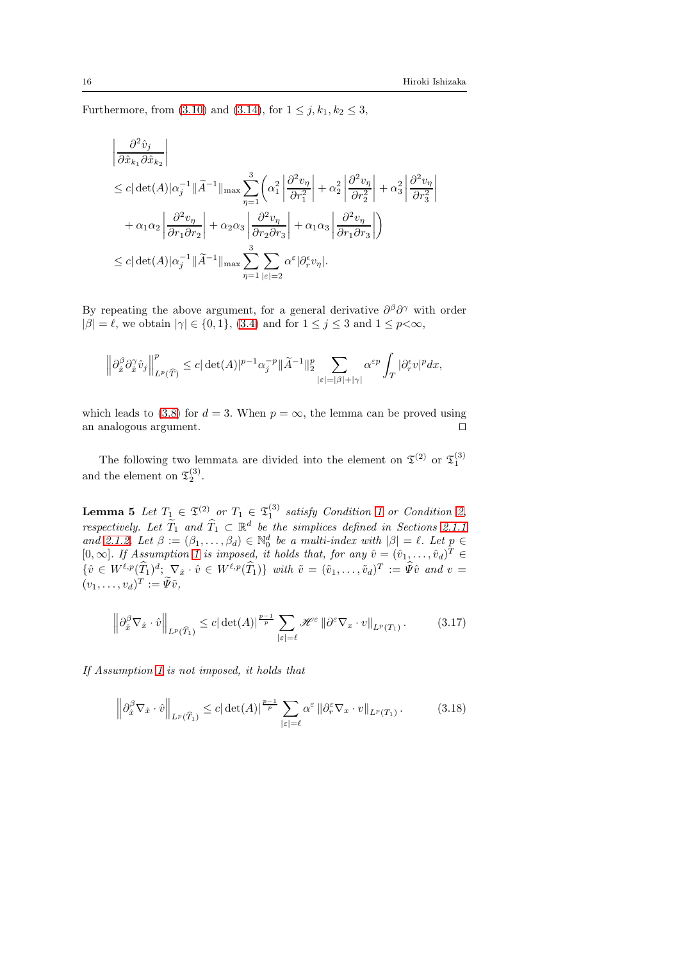Furthermore, from [\(3.10\)](#page-11-1) and [\(3.14\)](#page-12-1), for  $1 \le j, k_1, k_2 \le 3$ ,

 $\overline{1}$ 

$$
\begin{split} &\left|\frac{\partial^2 \hat{v}_j}{\partial \hat{x}_{k_1} \partial \hat{x}_{k_2}}\right| \\ &\leq c|\det(A)|\alpha_j^{-1}\|\tilde{A}^{-1}\|_{\max}\sum_{\eta=1}^3\left(\alpha_1^2\left|\frac{\partial^2 v_\eta}{\partial r_1^2}\right|+\alpha_2^2\left|\frac{\partial^2 v_\eta}{\partial r_2^2}\right|+\alpha_3^2\left|\frac{\partial^2 v_\eta}{\partial r_3^2}\right|\right.\\ &\left.+\alpha_1\alpha_2\left|\frac{\partial^2 v_\eta}{\partial r_1 \partial r_2}\right|+\alpha_2\alpha_3\left|\frac{\partial^2 v_\eta}{\partial r_2 \partial r_3}\right|+\alpha_1\alpha_3\left|\frac{\partial^2 v_\eta}{\partial r_1 \partial r_3}\right|\right) \\ &\leq c|\det(A)|\alpha_j^{-1}\|\tilde{A}^{-1}\|_{\max}\sum_{\eta=1}^3\sum_{|\varepsilon|=2}\alpha^\varepsilon|\partial_r^\varepsilon v_\eta|. \end{split}
$$

By repeating the above argument, for a general derivative  $\partial^{\beta}\partial^{\gamma}$  with order  $|\beta| = \ell$ , we obtain  $|\gamma| \in \{0, 1\}$ , [\(3.4\)](#page-9-3) and for  $1 \le j \le 3$  and  $1 \le p < \infty$ ,

$$
\left\|\partial_{\hat x}^\beta\partial_{\hat x}^\gamma\hat v_j\right\|_{L^p(\widehat T)}^p\leq c|\det(A)|^{p-1}\alpha_j^{-p}\|\widetilde A^{-1}\|_2^p\sum_{|\varepsilon|=|\beta|+|\gamma|}\alpha^{\varepsilon p}\int_T|\partial_r^\varepsilon v|^pdx,
$$

which leads to [\(3.8\)](#page-10-1) for  $d = 3$ . When  $p = \infty$ , the lemma can be proved using an analogous argument an analogous argument.

<span id="page-15-0"></span>The following two lemmata are divided into the element on  $\mathfrak{T}^{(2)}$  or  $\mathfrak{T}^{(3)}_1$ and the element on  $\mathfrak{T}_2^{(3)}$ .

**Lemma 5** Let  $T_1 \in \mathfrak{T}^{(2)}$  or  $T_1 \in \mathfrak{T}^{(3)}_1$  satisfy Condition [1](#page-3-1) or Condition [2,](#page-3-0) respectively. Let  $\widetilde{T}_1$  and  $\widehat{T}_1 \subset \mathbb{R}^d$  be the simplices defined in Sections [2.1.1](#page-1-0) and [2.1.2.](#page-2-0) Let  $\beta := (\beta_1, \ldots, \beta_d) \in \mathbb{N}_0^d$  be a multi-index with  $|\beta| = \ell$ . Let  $p \in$ [0,  $\infty$ ]. If Assumption [1](#page-4-1) is imposed, it holds that, for any  $\hat{v} = (\hat{v}_1, \dots, \hat{v}_d)^T \in$  $\{\hat{v} \in W^{\ell,p}(\hat{T}_1)^d; \nabla_{\hat{x}} \cdot \hat{v} \in W^{\ell,p}(\hat{T}_1)\}\ \text{ with }\ \tilde{v} = (\tilde{v}_1,\ldots,\tilde{v}_d)^T := \tilde{\Psi}\hat{v}\ \text{ and }\ v = 0\}.$  $(v_1,\ldots,v_d)^T := \tilde{\Psi}\tilde{v},$ 

<span id="page-15-1"></span>
$$
\left\|\partial_{\hat{x}}^{\beta}\nabla_{\hat{x}}\cdot\hat{v}\right\|_{L^{p}(\widehat{T}_{1})}\leq c|\det(A)|^{\frac{p-1}{p}}\sum_{|\varepsilon|=\ell}\mathscr{H}^{\varepsilon}\left\|\partial^{\varepsilon}\nabla_{x}\cdot v\right\|_{L^{p}(T_{1})}.\tag{3.17}
$$

If Assumption [1](#page-4-1) is not imposed, it holds that

<span id="page-15-2"></span>
$$
\left\|\partial_{\hat{x}}^{\beta}\nabla_{\hat{x}}\cdot\hat{v}\right\|_{L^{p}(\widehat{T}_{1})}\leq c|\det(A)|^{\frac{p-1}{p}}\sum_{|\varepsilon|=\ell}\alpha^{\varepsilon}\left\|\partial_{r}^{\varepsilon}\nabla_{x}\cdot v\right\|_{L^{p}(T_{1})}.\tag{3.18}
$$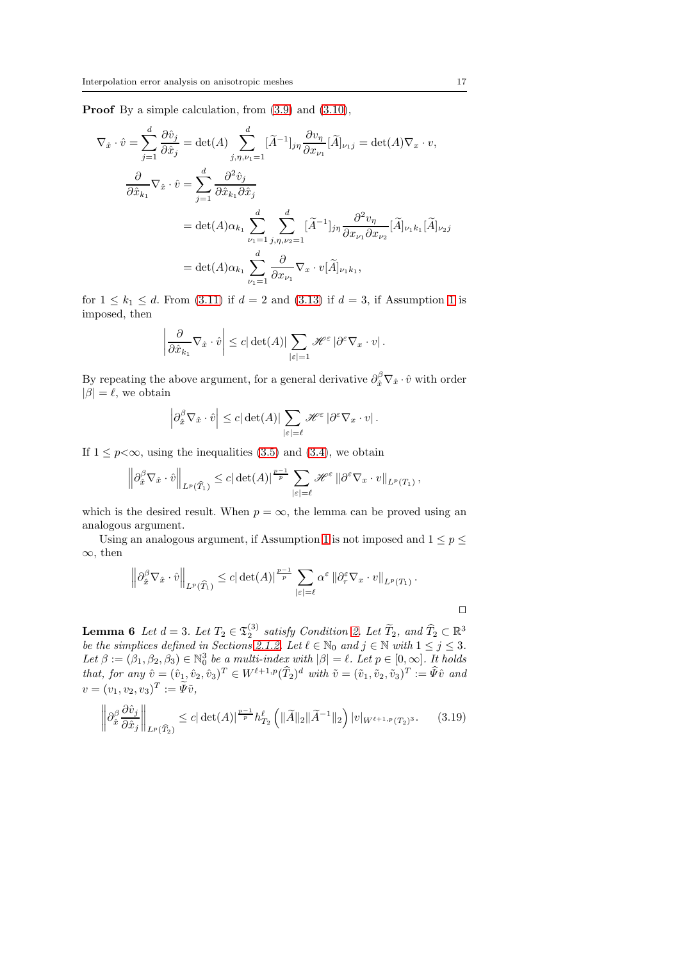Proof By a simple calculation, from [\(3.9\)](#page-10-0) and [\(3.10\)](#page-11-1),

$$
\nabla_{\hat{x}} \cdot \hat{v} = \sum_{j=1}^{d} \frac{\partial \hat{v}_{j}}{\partial \hat{x}_{j}} = \det(A) \sum_{j,\eta,\nu_{1}=1}^{d} [\tilde{A}^{-1}]_{j\eta} \frac{\partial v_{\eta}}{\partial x_{\nu_{1}}} [\tilde{A}]_{\nu_{1}j} = \det(A) \nabla_{x} \cdot v,
$$
  

$$
\frac{\partial}{\partial \hat{x}_{k_{1}}} \nabla_{\hat{x}} \cdot \hat{v} = \sum_{j=1}^{d} \frac{\partial^{2} \hat{v}_{j}}{\partial \hat{x}_{k_{1}} \partial \hat{x}_{j}}
$$
  

$$
= \det(A) \alpha_{k_{1}} \sum_{\nu_{1}=1}^{d} \sum_{j,\eta,\nu_{2}=1}^{d} [\tilde{A}^{-1}]_{j\eta} \frac{\partial^{2} v_{\eta}}{\partial x_{\nu_{1}} \partial x_{\nu_{2}}} [\tilde{A}]_{\nu_{1}k_{1}} [\tilde{A}]_{\nu_{2}j}
$$
  

$$
= \det(A) \alpha_{k_{1}} \sum_{\nu_{1}=1}^{d} \frac{\partial}{\partial x_{\nu_{1}}} \nabla_{x} \cdot v[\tilde{A}]_{\nu_{1}k_{1}},
$$

for  $1 \leq k_1 \leq d$ . From [\(3.11\)](#page-11-0) if  $d = 2$  and [\(3.13\)](#page-11-3) if  $d = 3$ , if Assumption [1](#page-4-1) is imposed, then

$$
\left|\frac{\partial}{\partial \hat{x}_{k_1}}\nabla_{\hat{x}}\cdot \hat{v}\right| \leq c|\det(A)|\sum_{|\varepsilon|=1} \mathscr{H}^{\varepsilon}|\partial^{\varepsilon}\nabla_x\cdot v|.
$$

By repeating the above argument, for a general derivative  $\partial_{\hat{x}}^{\beta} \nabla_{\hat{x}} \cdot \hat{v}$  with order  $|\beta| = \ell$ , we obtain

$$
\left|\partial_{\hat{x}}^{\beta}\nabla_{\hat{x}}\cdot\hat{v}\right|\leq c|\det(A)|\sum_{|\varepsilon|=\ell}\mathscr{H}^{\varepsilon}\left|\partial^{\varepsilon}\nabla_{x}\cdot v\right|.
$$

If  $1 \leq p \leq \infty$ , using the inequalities [\(3.5\)](#page-9-5) and [\(3.4\)](#page-9-3), we obtain

$$
\left\| \partial_{\hat x}^\beta \nabla_{\hat x} \cdot \hat v \right\|_{L^p(\widehat T_1)} \leq c |\det(A)|^{\frac{p-1}{p}} \sum_{|\varepsilon|=\ell} \mathscr H^\varepsilon \left\| \partial^\varepsilon \nabla_x \cdot v \right\|_{L^p(T_1)}
$$

which is the desired result. When  $p = \infty$ , the lemma can be proved using an analogous argument.

Using an analogous argument, if Assumption [1](#page-4-1) is not imposed and  $1 \le p \le$ ∞, then

$$
\left\|\partial_{\hat{x}}^{\beta}\nabla_{\hat{x}}\cdot\hat{v}\right\|_{L^{p}(\widehat{T}_{1})}\leq c|\det(A)|^{\frac{p-1}{p}}\sum_{|\varepsilon|=\ell}\alpha^{\varepsilon}\left\|\partial_{r}^{\varepsilon}\nabla_{x}\cdot v\right\|_{L^{p}(T_{1})}.
$$

<span id="page-16-0"></span>**Lemma 6** Let  $d = 3$ . Let  $T_2 \in \mathfrak{T}_2^{(3)}$  satisfy Condition [2.](#page-3-0) Let  $\widetilde{T}_2$ , and  $\widehat{T}_2 \subset \mathbb{R}^3$ be the simplices defined in Sections [2.1.2.](#page-2-0) Let  $\ell \in \mathbb{N}_0$  and  $j \in \mathbb{N}$  with  $1 \leq j \leq 3$ . Let  $\beta := (\beta_1, \beta_2, \beta_3) \in \mathbb{N}_0^3$  be a multi-index with  $|\beta| = \ell$ . Let  $p \in [0, \infty]$ . It holds that, for any  $\hat{v} = (\hat{v}_1, \hat{v}_2, \hat{v}_3)^T \in W^{\ell+1,p}(\hat{T}_2)^d$  with  $\tilde{v} = (\tilde{v}_1, \tilde{v}_2, \tilde{v}_3)^T := \hat{\Psi}\hat{v}$  and  $v = (v_1, v_2, v_3)^T := \Psi \tilde{v},$ 

$$
\left\|\partial_{\hat{x}}^{\beta}\frac{\partial\hat{v}_j}{\partial\hat{x}_j}\right\|_{L^p(\widehat{T}_2)} \le c|\det(A)|^{\frac{p-1}{p}}h_{T_2}^{\ell}\left(\|\widetilde{A}\|_2\|\widetilde{A}^{-1}\|_2\right)|v|_{W^{\ell+1,p}(T_2)^3}.\tag{3.19}
$$

,

<span id="page-16-1"></span>⊓⊔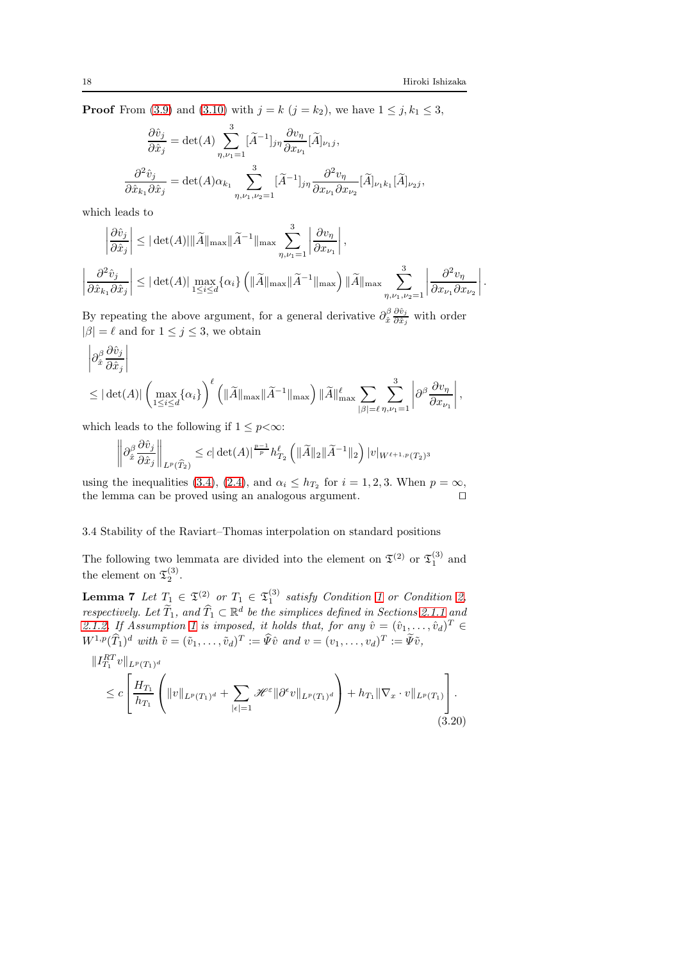,

**Proof** From [\(3.9\)](#page-10-0) and [\(3.10\)](#page-11-1) with  $j = k$  ( $j = k_2$ ), we have  $1 \le j, k_1 \le 3$ ,

$$
\frac{\partial \hat{v}_j}{\partial \hat{x}_j} = \det(A) \sum_{\eta, \nu_1 = 1}^3 [\widetilde{A}^{-1}]_{j\eta} \frac{\partial v_{\eta}}{\partial x_{\nu_1}} [\widetilde{A}]_{\nu_1 j},
$$

$$
\frac{\partial^2 \hat{v}_j}{\partial \hat{x}_{k_1} \partial \hat{x}_j} = \det(A) \alpha_{k_1} \sum_{\eta, \nu_1, \nu_2 = 1}^3 [\widetilde{A}^{-1}]_{j\eta} \frac{\partial^2 v_{\eta}}{\partial x_{\nu_1} \partial x_{\nu_2}} [\widetilde{A}]_{\nu_1 k_1} [\widetilde{A}]_{\nu_2 j},
$$

which leads to

$$
\left| \frac{\partial \hat{v}_j}{\partial \hat{x}_j} \right| \leq |\det(A)| \|\tilde{A}\|_{\max} \|\tilde{A}^{-1}\|_{\max} \sum_{\eta, \nu_1=1}^3 \left| \frac{\partial v_\eta}{\partial x_{\nu_1}} \right|,
$$
  

$$
\left| \frac{\partial^2 \hat{v}_j}{\partial \hat{x}_{k_1} \partial \hat{x}_j} \right| \leq |\det(A)| \max_{1 \leq i \leq d} \{\alpha_i\} \left( \|\tilde{A}\|_{\max} \|\tilde{A}^{-1}\|_{\max} \right) \|\tilde{A}\|_{\max} \sum_{\eta, \nu_1, \nu_2=1}^3 \left| \frac{\partial^2 v_\eta}{\partial x_{\nu_1} \partial x_{\nu_2}} \right|.
$$

By repeating the above argument, for a general derivative  $\partial_{\hat{x}}^{\beta} \frac{\partial \hat{v}_j}{\partial \hat{x}_j}$  $\frac{\partial v_j}{\partial \hat{x}_j}$  with order  $|\beta| = \ell$  and for  $1 \le j \le 3$ , we obtain

$$
\begin{aligned} &\left|\partial_{\hat{x}}^{\beta}\frac{\partial\hat{v}_j}{\partial\hat{x}_j}\right|\\ &\leq|\det(A)|\left(\max_{1\leq i\leq d}\{\alpha_i\}\right)^{\ell}\left(\|\widetilde{A}\|_{\max}\|\widetilde{A}^{-1}\|_{\max}\right)\|\widetilde{A}\|_{\max}^{\ell}\sum_{|\beta|=\ell}\sum_{\eta,\nu_1=1}^3\left|\partial^{\beta}\frac{\partial v_{\eta}}{\partial x_{\nu_1}}\right|.\end{aligned}
$$

which leads to the following if  $1 \leq p < \infty$ :

$$
\left\|\partial_{\hat{x}}^{\beta}\frac{\partial\hat{v}_j}{\partial\hat{x}_j}\right\|_{L^p(\widehat{T}_2)} \leq c|\det(A)|^{\frac{p-1}{p}}h_{T_2}^{\ell}\left(\|\widetilde{A}\|_2\|\widetilde{A}^{-1}\|_2\right)|v|_{W^{\ell+1,p}(T_2)^3}
$$

using the inequalities [\(3.4\)](#page-9-3), [\(2.4\)](#page-3-2), and  $\alpha_i \leq h_{T_2}$  for  $i = 1, 2, 3$ . When  $p = \infty$ , the lemma can be proved using an analogous argument. ⊓⊔

## 3.4 Stability of the Raviart–Thomas interpolation on standard positions

The following two lemmata are divided into the element on  $\mathfrak{T}^{(2)}$  or  $\mathfrak{T}^{(3)}_1$  and the element on  $\mathfrak{T}_2^{(3)}$ .

<span id="page-17-0"></span>**Lemma 7** Let  $T_1 \in \mathfrak{T}_2^{(2)}$  or  $T_1 \in \mathfrak{T}_1^{(3)}$  satisfy Condition [1](#page-3-1) or Condition [2,](#page-3-0) respectively. Let  $\widetilde{T}_1$ , and  $\widehat{T}_1 \subset \mathbb{R}^d$  be the simplices defined in Sections [2.1.1](#page-1-0) and [2.1.2.](#page-2-0) If Assumption [1](#page-4-1) is imposed, it holds that, for any  $\hat{v} = (\hat{v}_1, \dots, \hat{v}_d)^T \in$  $W^{1,p}(\widehat{T}_1)^d$  with  $\tilde{v} = (\tilde{v}_1, \ldots, \tilde{v}_d)^T := \widehat{\Psi}\hat{v}$  and  $v = (v_1, \ldots, v_d)^T := \widetilde{\Psi}\tilde{v}$ ,

$$
\|I_{T_1}^{RT}v\|_{L^p(T_1)^d}
$$
\n
$$
\leq c \left[ \frac{H_{T_1}}{h_{T_1}} \left( \|v\|_{L^p(T_1)^d} + \sum_{|\epsilon|=1} \mathcal{H}^{\epsilon} \|\partial^{\epsilon}v\|_{L^p(T_1)^d} \right) + h_{T_1} \|\nabla_x \cdot v\|_{L^p(T_1)} \right].
$$
\n(3.20)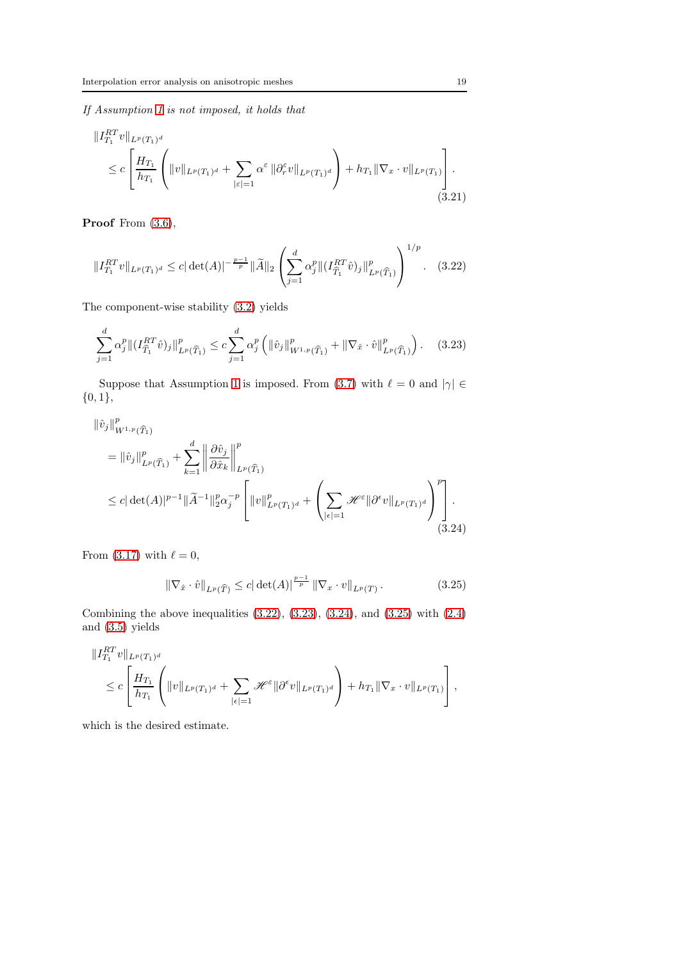If Assumption [1](#page-4-1) is not imposed, it holds that

$$
\|I_{T_1}^{RT}v\|_{L^p(T_1)^d}
$$
\n
$$
\leq c \left[ \frac{H_{T_1}}{h_{T_1}} \left( \|v\|_{L^p(T_1)^d} + \sum_{|\varepsilon|=1} \alpha^{\varepsilon} \|\partial_r^{\varepsilon}v\|_{L^p(T_1)^d} \right) + h_{T_1} \|\nabla_x \cdot v\|_{L^p(T_1)} \right].
$$
\n(3.21)

Proof From  $(3.6)$ ,

<span id="page-18-0"></span>
$$
||I_{T_1}^{RT}v||_{L^p(T_1)^d} \le c|\det(A)|^{-\frac{p-1}{p}}||\widetilde{A}||_2 \left(\sum_{j=1}^d \alpha_j^p ||(I_{\widehat{T}_1}^{RT}\hat{v})_j||_{L^p(\widehat{T}_1)}^p\right)^{1/p}.
$$
 (3.22)

The component-wise stability [\(3.2\)](#page-8-2) yields

<span id="page-18-1"></span>
$$
\sum_{j=1}^{d} \alpha_j^p \|(I_{\widehat{T}_1}^{RT} \widehat{v})_j\|_{L^p(\widehat{T}_1)}^p \le c \sum_{j=1}^{d} \alpha_j^p \left( \|\widehat{v}_j\|_{W^{1,p}(\widehat{T}_1)}^p + \|\nabla_{\widehat{x}} \cdot \widehat{v}\|_{L^p(\widehat{T}_1)}^p \right). \tag{3.23}
$$

Suppose that Assumption [1](#page-4-1) is imposed. From [\(3.7\)](#page-9-4) with  $\ell = 0$  and  $|\gamma| \in$  ${0,1},$ 

$$
\|\hat{v}_{j}\|_{W^{1,p}(\widehat{T}_{1})}^{p} \n= \|\hat{v}_{j}\|_{L^{p}(\widehat{T}_{1})}^{p} + \sum_{k=1}^{d} \left\|\frac{\partial \hat{v}_{j}}{\partial \hat{x}_{k}}\right\|_{L^{p}(\widehat{T}_{1})}^{p} \n\leq c |\det(A)|^{p-1} \|\widetilde{A}^{-1}\|_{2}^{p} \alpha_{j}^{-p} \left[\|v\|_{L^{p}(T_{1})^{d}}^{p} + \left(\sum_{|\epsilon|=1} \mathcal{H}^{\epsilon} \|\partial^{\epsilon} v\|_{L^{p}(T_{1})^{d}}\right)^{p}\right].
$$
\n(3.24)

From [\(3.17\)](#page-15-1) with  $\ell = 0$ ,

<span id="page-18-3"></span><span id="page-18-2"></span>
$$
\|\nabla_{\hat{x}} \cdot \hat{v}\|_{L^p(\widehat{T})} \le c |\det(A)|^{\frac{p-1}{p}} \|\nabla_x \cdot v\|_{L^p(T)}.
$$
\n(3.25)

Combining the above inequalities  $(3.22)$ ,  $(3.23)$ ,  $(3.24)$ , and  $(3.25)$  with  $(2.4)$ and [\(3.5\)](#page-9-5) yields

$$
\begin{aligned}\n&\|I_{T_1}^{RT}v\|_{L^p(T_1)^d} \\
&\leq c \left[\frac{H_{T_1}}{h_{T_1}}\left(\|v\|_{L^p(T_1)^d} + \sum_{|\epsilon|=1} \mathcal{H}^{\varepsilon} \|\partial^{\epsilon}v\|_{L^p(T_1)^d}\right) + h_{T_1} \|\nabla_x \cdot v\|_{L^p(T_1)}\right],\n\end{aligned}
$$

which is the desired estimate.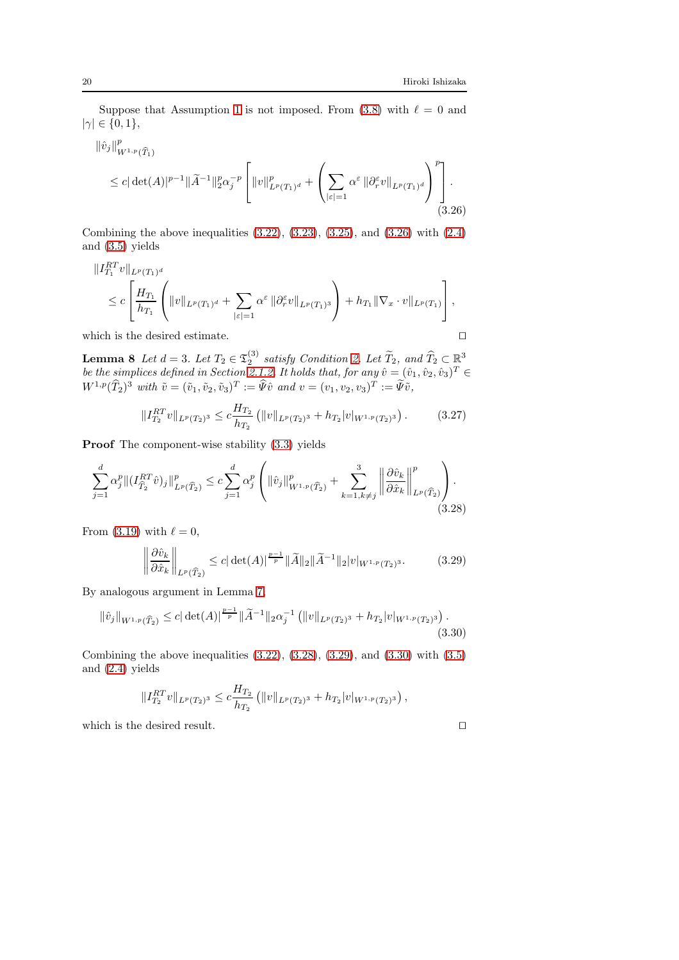Suppose that Assumption [1](#page-4-1) is not imposed. From [\(3.8\)](#page-10-1) with  $\ell = 0$  and  $|\gamma| \in \{0, 1\},\$ 

<span id="page-19-1"></span>
$$
\|\hat{v}_j\|_{W^{1,p}(\widehat{T}_1)}^p \le c |\det(A)|^{p-1} \|\widetilde{A}^{-1}\|_2^p \alpha_j^{-p} \left[ \|v\|_{L^p(T_1)^d}^p + \left( \sum_{|\varepsilon|=1} \alpha^{\varepsilon} \|\partial_r^{\varepsilon} v\|_{L^p(T_1)^d} \right)^p \right].
$$
\n(3.26)

Combining the above inequalities  $(3.22)$ ,  $(3.23)$ ,  $(3.25)$ , and  $(3.26)$  with  $(2.4)$ and [\(3.5\)](#page-9-5) yields

$$
\begin{aligned} \|I_{T_1}^{RT}v\|_{L^p(T_1)^d} \\ &\leq c \left[ \frac{H_{T_1}}{h_{T_1}} \left( \|v\|_{L^p(T_1)^d} + \sum_{|\varepsilon|=1} \alpha^{\varepsilon} \left\| \partial_r^{\varepsilon} v \right\|_{L^p(T_1)^3} \right) + h_{T_1} \|\nabla_x \cdot v\|_{L^p(T_1)} \right], \end{aligned}
$$

<span id="page-19-0"></span>which is the desired estimate. □

**Lemma 8** Let  $d = 3$ . Let  $T_2 \in \mathfrak{T}_2^{(3)}$  satisfy Condition [2.](#page-3-0) Let  $\widetilde{T}_2$ , and  $\widehat{T}_2 \subset \mathbb{R}^3$ be the simplices defined in Section [2.1.2.](#page-2-0) It holds that, for any  $\hat{v} = (\hat{v}_1, \hat{v}_2, \hat{v}_3)^T \in$  $W^{1,p}(\tilde{T}_2)^3$  with  $\tilde{v} = (\tilde{v}_1, \tilde{v}_2, \tilde{v}_3)^T := \tilde{\Psi}\tilde{v}$  and  $v = (v_1, v_2, v_3)^T := \tilde{\Psi}\tilde{v}$ ,

$$
||I_{T_2}^{RT}v||_{L^p(T_2)^3} \leq c \frac{H_{T_2}}{h_{T_2}} \left( ||v||_{L^p(T_2)^3} + h_{T_2}|v|_{W^{1,p}(T_2)^3} \right). \tag{3.27}
$$

Proof The component-wise stability  $(3.3)$  yields

$$
\sum_{j=1}^{d} \alpha_j^p \|(I_{\widehat{T}_2}^{RT} \widehat{v})_j\|_{L^p(\widehat{T}_2)}^p \le c \sum_{j=1}^{d} \alpha_j^p \left( \|\widehat{v}_j\|_{W^{1,p}(\widehat{T}_2)}^p + \sum_{k=1, k \neq j}^3 \left\| \frac{\partial \widehat{v}_k}{\partial \widehat{x}_k} \right\|_{L^p(\widehat{T}_2)}^p \right). \tag{3.28}
$$

From [\(3.19\)](#page-16-1) with  $\ell = 0$ ,

$$
\left\|\frac{\partial \hat{v}_k}{\partial \hat{x}_k}\right\|_{L^p(\widehat{T}_2)} \le c |\det(A)|^{\frac{p-1}{p}} \|\widetilde{A}\|_2 \|\widetilde{A}^{-1}\|_2 |v|_{W^{1,p}(T_2)^3}.\tag{3.29}
$$

By analogous argument in Lemma [7,](#page-17-0)

$$
\|\hat{v}_j\|_{W^{1,p}(\widehat{T}_2)} \leq c |\det(A)|^{\frac{p-1}{p}} \|\widetilde{A}^{-1}\|_2 \alpha_j^{-1} \left( \|v\|_{L^p(T_2)^3} + h_{T_2}|v|_{W^{1,p}(T_2)^3} \right).
$$
\n(3.30)

Combining the above inequalities  $(3.22)$ ,  $(3.28)$ ,  $(3.29)$ , and  $(3.30)$  with  $(3.5)$ and [\(2.4\)](#page-3-2) yields

$$
||I_{T_2}^{RT}v||_{L^p(T_2)^3} \leq c \frac{H_{T_2}}{h_{T_2}} (||v||_{L^p(T_2)^3} + h_{T_2}|v|_{W^{1,p}(T_2)^3}),
$$

which is the desired result.  $□$ 

<span id="page-19-4"></span><span id="page-19-3"></span><span id="page-19-2"></span>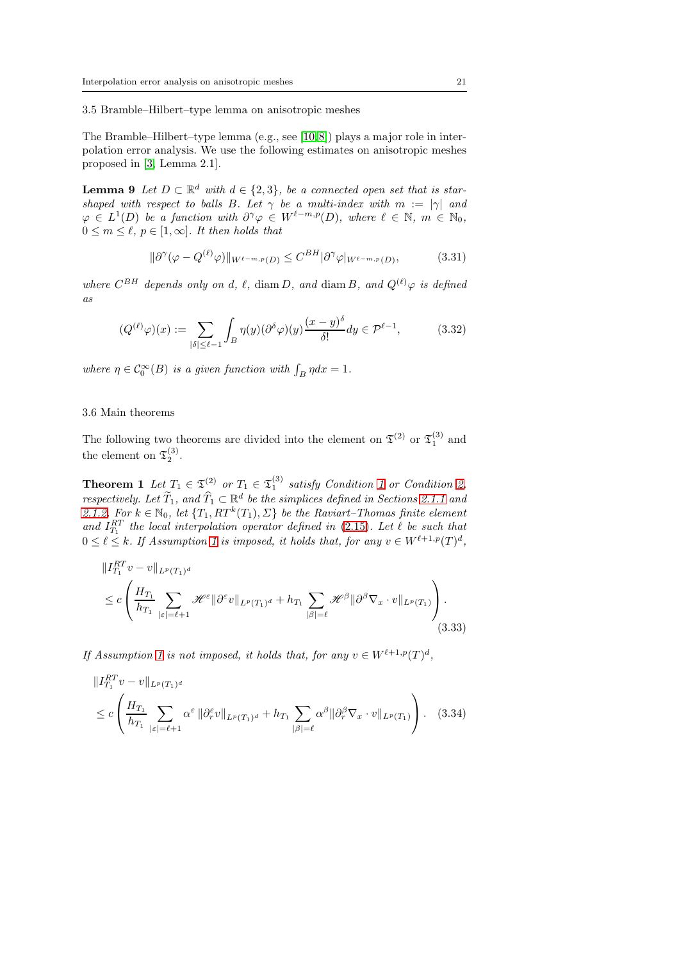3.5 Bramble–Hilbert–type lemma on anisotropic meshes

The Bramble–Hilbert–type lemma (e.g., see [\[10,](#page-27-11)[8\]](#page-27-12)) plays a major role in interpolation error analysis. We use the following estimates on anisotropic meshes proposed in [\[3,](#page-27-13) Lemma 2.1].

<span id="page-20-2"></span>**Lemma 9** Let  $D \subset \mathbb{R}^d$  with  $d \in \{2,3\}$ , be a connected open set that is starshaped with respect to balls B. Let  $\gamma$  be a multi-index with  $m := |\gamma|$  and  $\varphi \in L^1(D)$  be a function with  $\partial^{\gamma} \varphi \in W^{\ell-m,p}(D)$ , where  $\ell \in \mathbb{N}$ ,  $m \in \mathbb{N}_0$ ,  $0 \leq m \leq \ell, p \in [1, \infty]$ . It then holds that

<span id="page-20-1"></span>
$$
\|\partial^{\gamma}(\varphi - Q^{(\ell)}\varphi)\|_{W^{\ell-m,p}(D)} \leq C^{BH}|\partial^{\gamma}\varphi|_{W^{\ell-m,p}(D)},\tag{3.31}
$$

where  $C^{BH}$  depends only on d,  $\ell$ , diam D, and diam B, and  $Q^{(\ell)}\varphi$  is defined as

$$
(Q^{(\ell)}\varphi)(x) := \sum_{|\delta| \le \ell - 1} \int_B \eta(y) (\partial^{\delta}\varphi)(y) \frac{(x - y)^{\delta}}{\delta!} dy \in \mathcal{P}^{\ell - 1},\tag{3.32}
$$

where  $\eta \in C_0^{\infty}(B)$  is a given function with  $\int_B \eta dx = 1$ .

#### 3.6 Main theorems

<span id="page-20-0"></span>The following two theorems are divided into the element on  $\mathfrak{T}^{(2)}$  or  $\mathfrak{T}^{(3)}_1$  and the element on  $\mathfrak{T}_2^{(3)}$ .

**Theorem [1](#page-3-1)** Let  $T_1 \in \mathfrak{T}_1^{(2)}$  or  $T_1 \in \mathfrak{T}_1^{(3)}$  satisfy Condition 1 or Condition [2,](#page-3-0) respectively. Let  $\widetilde{T}_1$ , and  $\widehat{T}_1 \subset \mathbb{R}^d$  be the simplices defined in Sections [2.1.1](#page-1-0) and [2.1.2.](#page-2-0) For  $k \in \mathbb{N}_0$ , let  $\{T_1, RT^k(T_1), \Sigma\}$  be the Raviart–Thomas finite element and  $I_{T_1}^{RT}$  the local interpolation operator defined in [\(2.15\)](#page-7-0). Let  $\ell$  be such that  $0 \leq \ell \leq k$ . If Assumption [1](#page-4-1) is imposed, it holds that, for any  $v \in W^{\ell+1,p}(T)^d$ ,

<span id="page-20-3"></span>
$$
\|I_{T_1}^{RT}v - v\|_{L^p(T_1)^d}
$$
\n
$$
\leq c \left( \frac{H_{T_1}}{h_{T_1}} \sum_{|\varepsilon|=\ell+1} \mathscr{H}^{\varepsilon} \|\partial^{\varepsilon}v\|_{L^p(T_1)^d} + h_{T_1} \sum_{|\beta|=\ell} \mathscr{H}^{\beta} \|\partial^{\beta} \nabla_x \cdot v\|_{L^p(T_1)} \right).
$$
\n(3.33)

If Assumption [1](#page-4-1) is not imposed, it holds that, for any  $v \in W^{\ell+1,p}(T)^d$ ,

<span id="page-20-4"></span>
$$
\|I_{T_1}^{RT}v - v\|_{L^p(T_1)^d}
$$
\n
$$
\leq c \left( \frac{H_{T_1}}{h_{T_1}} \sum_{|\varepsilon|=\ell+1} \alpha^{\varepsilon} \|\partial_r^{\varepsilon}v\|_{L^p(T_1)^d} + h_{T_1} \sum_{|\beta|=\ell} \alpha^{\beta} \|\partial_r^{\beta} \nabla_x \cdot v\|_{L^p(T_1)} \right). \tag{3.34}
$$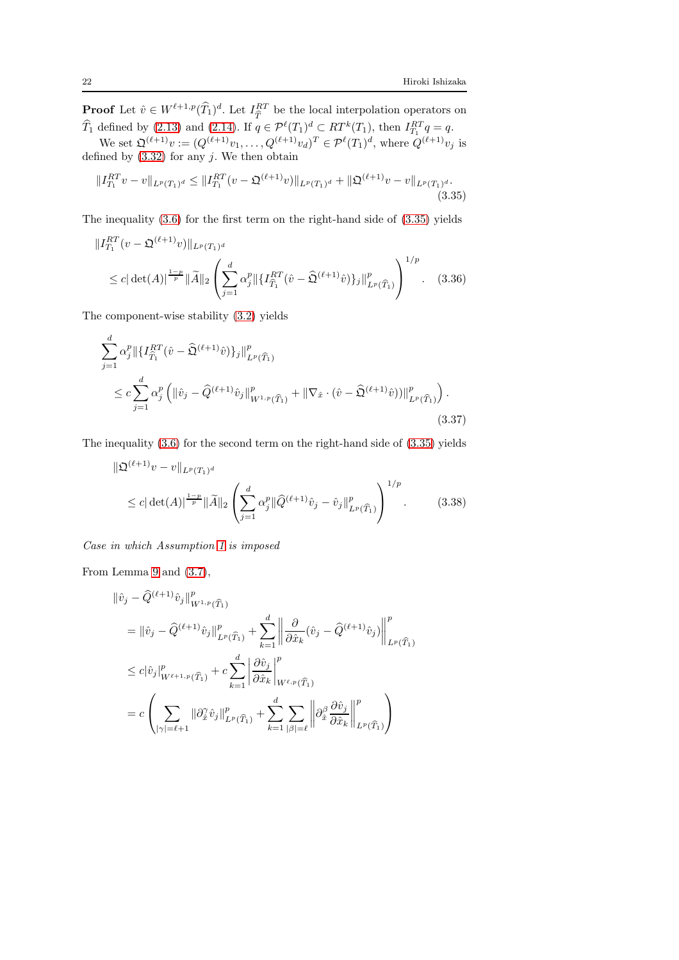**Proof** Let  $\hat{v} \in W^{\ell+1,p}(\hat{T}_1)^d$ . Let  $I_{\hat{T}}^{RT}$  be the local interpolation operators on  $\widehat{T}_1$  defined by [\(2.13\)](#page-6-0) and [\(2.14\)](#page-6-3). If  $q \in \mathcal{P}^{\ell}(T_1)^d \subset RT^k(T_1)$ , then  $I_{T_1}^{RT}q = q$ .

We set  $\mathfrak{Q}^{(\ell+1)}v := (Q^{(\ell+1)}v_1, \ldots, Q^{(\ell+1)}v_d)^T \in \mathcal{P}^{\ell}(T_1)^d$ , where  $Q^{(\ell+1)}v_j$  is defined by  $(3.32)$  for any j. We then obtain

<span id="page-21-0"></span>
$$
||I_{T_1}^{RT}v - v||_{L^p(T_1)^d} \le ||I_{T_1}^{RT}(v - \mathfrak{Q}^{(\ell+1)}v)||_{L^p(T_1)^d} + ||\mathfrak{Q}^{(\ell+1)}v - v||_{L^p(T_1)^d}.
$$
\n(3.35)

The inequality [\(3.6\)](#page-9-2) for the first term on the right-hand side of [\(3.35\)](#page-21-0) yields

$$
||I_{T_1}^{RT}(v - \mathfrak{Q}^{(\ell+1)}v)||_{L^p(T_1)^d}
$$
  
\n
$$
\leq c |\det(A)|^{\frac{1-p}{p}} ||\widetilde{A}||_2 \left( \sum_{j=1}^d \alpha_j^p ||\{I_{\widehat{T}_1}^{RT}(\hat{v} - \widehat{\mathfrak{Q}}^{(\ell+1)}\hat{v})\}_j||_{L^p(\widehat{T}_1)}^p \right)^{1/p}.
$$
 (3.36)

The component-wise stability [\(3.2\)](#page-8-2) yields

$$
\sum_{j=1}^{a} \alpha_j^p \|\{I_{\widehat{T}_1}^{RT}(\hat{v} - \widehat{\mathfrak{Q}}^{(\ell+1)}\hat{v})\}_j\|_{L^p(\widehat{T}_1)}^p
$$
\n
$$
\leq c \sum_{j=1}^{d} \alpha_j^p \left( \|\hat{v}_j - \widehat{Q}^{(\ell+1)}\hat{v}_j\|_{W^{1,p}(\widehat{T}_1)}^p + \|\nabla_{\hat{x}} \cdot (\hat{v} - \widehat{\mathfrak{Q}}^{(\ell+1)}\hat{v})\|_{L^p(\widehat{T}_1)}^p \right). \tag{3.37}
$$

The inequality [\(3.6\)](#page-9-2) for the second term on the right-hand side of [\(3.35\)](#page-21-0) yields

<span id="page-21-3"></span><span id="page-21-2"></span>
$$
\|\mathfrak{Q}^{(\ell+1)}v - v\|_{L^p(T_1)^d}
$$
  
\n
$$
\leq c |\det(A)|^{\frac{1-p}{p}} \|\widetilde{A}\|_2 \left( \sum_{j=1}^d \alpha_j^p \|\widehat{Q}^{(\ell+1)}\hat{v}_j - \hat{v}_j\|_{L^p(\widehat{T}_1)}^p \right)^{1/p}.
$$
 (3.38)

Case in which Assumption [1](#page-4-1) is imposed

From Lemma [9](#page-20-2) and [\(3.7\)](#page-9-4),

$$
\begin{split}\n\|\hat{v}_j - \hat{Q}^{(\ell+1)}\hat{v}_j\|_{W^{1,p}(\widehat{T}_1)}^p \\
&= \|\hat{v}_j - \hat{Q}^{(\ell+1)}\hat{v}_j\|_{L^p(\widehat{T}_1)}^p + \sum_{k=1}^d \left\|\frac{\partial}{\partial \hat{x}_k}(\hat{v}_j - \hat{Q}^{(\ell+1)}\hat{v}_j)\right\|_{L^p(\widehat{T}_1)}^p \\
&\leq c|\hat{v}_j|_{W^{\ell+1,p}(\widehat{T}_1)}^p + c \sum_{k=1}^d \left|\frac{\partial \hat{v}_j}{\partial \hat{x}_k}\right|_{W^{\ell,p}(\widehat{T}_1)}^p \\
&= c \left(\sum_{|\gamma|=\ell+1} \|\partial_x^{\gamma}\hat{v}_j\|_{L^p(\widehat{T}_1)}^p + \sum_{k=1}^d \sum_{|\beta|=\ell} \left\|\partial_x^{\beta}\frac{\partial \hat{v}_j}{\partial \hat{x}_k}\right\|_{L^p(\widehat{T}_1)}^p\right)\n\end{split}
$$

<span id="page-21-1"></span> $\overline{a}$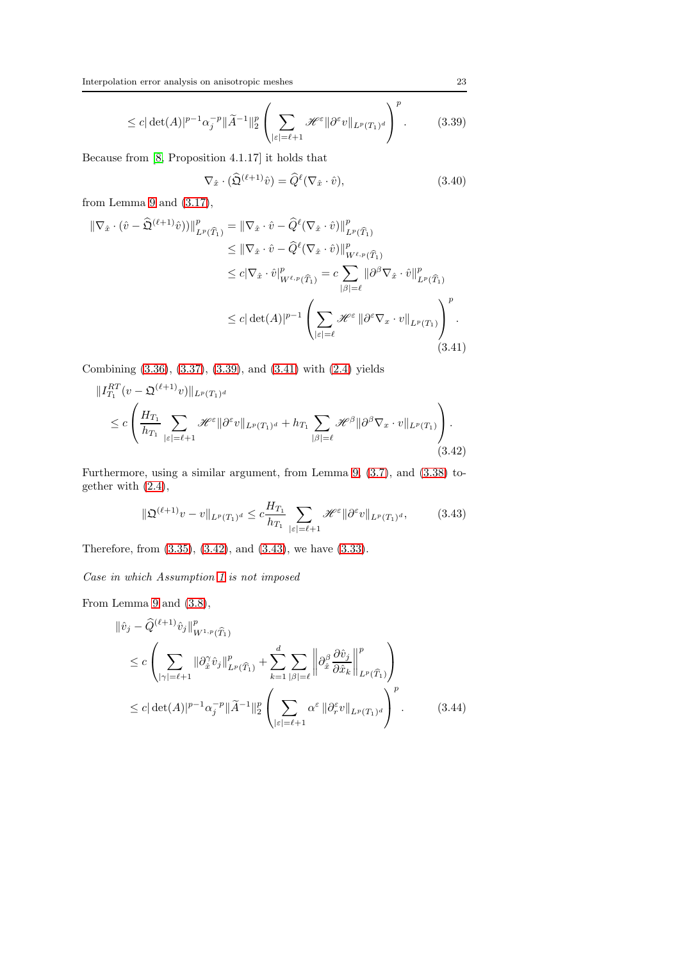$$
\leq c |\det(A)|^{p-1} \alpha_j^{-p} \|\widetilde{A}^{-1}\|_2^p \left( \sum_{|\varepsilon|=\ell+1} \mathcal{H}^{\varepsilon} \|\partial^{\varepsilon} v\|_{L^p(T_1)^d} \right)^p. \tag{3.39}
$$

Because from [\[8,](#page-27-12) Proposition 4.1.17] it holds that

<span id="page-22-4"></span><span id="page-22-1"></span><span id="page-22-0"></span>
$$
\nabla_{\hat{x}} \cdot (\widehat{\mathfrak{Q}}^{(\ell+1)} \widehat{v}) = \widehat{Q}^{\ell} (\nabla_{\hat{x}} \cdot \widehat{v}), \tag{3.40}
$$

from Lemma [9](#page-20-2) and [\(3.17\)](#page-15-1),

$$
\begin{split} \|\nabla_{\hat{x}} \cdot (\hat{v} - \widehat{\mathfrak{Q}}^{(\ell+1)} \hat{v}))\|_{L^{p}(\widehat{T}_{1})}^{p} &= \|\nabla_{\hat{x}} \cdot \hat{v} - \widehat{Q}^{\ell}(\nabla_{\hat{x}} \cdot \hat{v})\|_{L^{p}(\widehat{T}_{1})}^{p} \\ &\leq \|\nabla_{\hat{x}} \cdot \hat{v} - \widehat{Q}^{\ell}(\nabla_{\hat{x}} \cdot \hat{v})\|_{W^{\ell,p}(\widehat{T}_{1})}^{p} \\ &\leq c|\nabla_{\hat{x}} \cdot \hat{v}\|_{W^{\ell,p}(\widehat{T}_{1})}^{p} = c \sum_{|\beta|=\ell} \|\partial^{\beta} \nabla_{\hat{x}} \cdot \hat{v}\|_{L^{p}(\widehat{T}_{1})}^{p} \\ &\leq c|\det(A)|^{p-1} \left(\sum_{|\varepsilon|=\ell} \mathscr{H}^{\varepsilon} \|\partial^{\varepsilon} \nabla_{x} \cdot v\|_{L^{p}(T_{1})}\right)^{p} . \end{split} \tag{3.41}
$$

Combining [\(3.36\)](#page-21-1), [\(3.37\)](#page-21-2), [\(3.39\)](#page-22-0), and [\(3.41\)](#page-22-1) with [\(2.4\)](#page-3-2) yields

$$
\|I_{T_1}^{RT}(v - \mathfrak{Q}^{(\ell+1)}v)\|_{L^p(T_1)^d}
$$
  
\n
$$
\leq c \left( \frac{H_{T_1}}{h_{T_1}} \sum_{|\varepsilon| = \ell+1} \mathcal{H}^{\varepsilon} \|\partial^{\varepsilon}v\|_{L^p(T_1)^d} + h_{T_1} \sum_{|\beta| = \ell} \mathcal{H}^{\beta} \|\partial^{\beta} \nabla_x \cdot v\|_{L^p(T_1)} \right).
$$
\n(3.42)

Furthermore, using a similar argument, from Lemma [9,](#page-20-2) [\(3.7\)](#page-9-4), and [\(3.38\)](#page-21-3) together with [\(2.4\)](#page-3-2),

<span id="page-22-3"></span><span id="page-22-2"></span>
$$
\|\mathfrak{Q}^{(\ell+1)}v - v\|_{L^p(T_1)^d} \le c \frac{H_{T_1}}{h_{T_1}} \sum_{|\varepsilon| = \ell+1} \mathcal{H}^{\varepsilon} \|\partial^{\varepsilon}v\|_{L^p(T_1)^d},\tag{3.43}
$$

Therefore, from [\(3.35\)](#page-21-0), [\(3.42\)](#page-22-2), and [\(3.43\)](#page-22-3), we have [\(3.33\)](#page-20-3).

Case in which Assumption [1](#page-4-1) is not imposed

From Lemma [9](#page-20-2) and [\(3.8\)](#page-10-1),

<span id="page-22-5"></span>
$$
\|\hat{v}_j - \widehat{Q}^{(\ell+1)}\hat{v}_j\|_{W^{1,p}(\widehat{T}_1)}^p \n\leq c \left( \sum_{|\gamma|=\ell+1} \|\partial_x^{\gamma}\hat{v}_j\|_{L^p(\widehat{T}_1)}^p + \sum_{k=1}^d \sum_{|\beta|=\ell} \left\| \partial_x^{\beta} \frac{\partial \hat{v}_j}{\partial \hat{x}_k} \right\|_{L^p(\widehat{T}_1)}^p \right) \n\leq c |\det(A)|^{p-1} \alpha_j^{-p} \|\widetilde{A}^{-1}\|_2^p \left( \sum_{|\varepsilon|=\ell+1} \alpha^{\varepsilon} \|\partial_x^{\varepsilon}v\|_{L^p(T_1)^d} \right)^p.
$$
\n(3.44)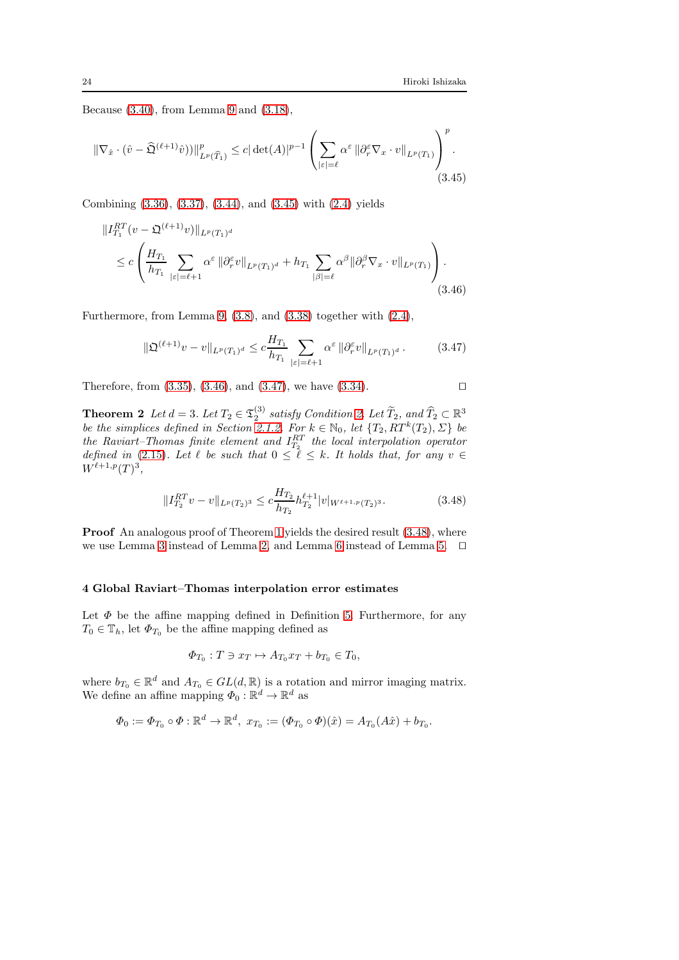Because [\(3.40\)](#page-22-4), from Lemma [9](#page-20-2) and [\(3.18\)](#page-15-2),

$$
\|\nabla_{\hat{x}} \cdot (\hat{v} - \widehat{\mathfrak{Q}}^{(\ell+1)} \hat{v}))\|_{L^p(\widehat{T}_1)}^p \le c |\det(A)|^{p-1} \left( \sum_{|\varepsilon|=\ell} \alpha^{\varepsilon} \|\partial_r^{\varepsilon} \nabla_x \cdot v\|_{L^p(T_1)} \right)^p.
$$
\n(3.45)

Combining [\(3.36\)](#page-21-1), [\(3.37\)](#page-21-2), [\(3.44\)](#page-22-5), and [\(3.45\)](#page-23-1) with [\(2.4\)](#page-3-2) yields

$$
\|I_{T_1}^{RT}(v - \mathfrak{Q}^{(\ell+1)}v)\|_{L^p(T_1)^d}
$$
  
\n
$$
\leq c \left( \frac{H_{T_1}}{h_{T_1}} \sum_{|\varepsilon| = \ell+1} \alpha^{\varepsilon} \|\partial_r^{\varepsilon}v\|_{L^p(T_1)^d} + h_{T_1} \sum_{|\beta| = \ell} \alpha^{\beta} \|\partial_r^{\beta} \nabla_x \cdot v\|_{L^p(T_1)} \right).
$$
\n(3.46)

Furthermore, from Lemma [9,](#page-20-2) [\(3.8\)](#page-10-1), and [\(3.38\)](#page-21-3) together with [\(2.4\)](#page-3-2),

<span id="page-23-3"></span><span id="page-23-2"></span>
$$
\|\mathfrak{Q}^{(\ell+1)}v - v\|_{L^p(T_1)^d} \le c \frac{H_{T_1}}{h_{T_1}} \sum_{|\varepsilon| = \ell+1} \alpha^{\varepsilon} \|\partial_r^{\varepsilon}v\|_{L^p(T_1)^d}.
$$
 (3.47)

Therefore, from  $(3.35)$ ,  $(3.46)$ , and  $(3.47)$ , we have  $(3.34)$ . □

<span id="page-23-0"></span>**Theorem 2** Let  $d = 3$ . Let  $T_2 \in \mathfrak{T}_2^{(3)}$  satisfy Condition [2.](#page-3-0) Let  $\widetilde{T}_2$ , and  $\widehat{T}_2 \subset \mathbb{R}^3$ be the simplices defined in Section [2.1.2.](#page-2-0) For  $k \in \mathbb{N}_0$ , let  $\{T_2, RT^k(T_2), \Sigma\}$  be the Raviart–Thomas finite element and  $I_{T_2}^{RT}$  the local interpolation operator defined in [\(2.15\)](#page-7-0). Let  $\ell$  be such that  $0 \leq \ell \leq k$ . It holds that, for any  $v \in$  $W^{\ell+1,p}(T)^3,$ 

<span id="page-23-4"></span>
$$
||I_{T_2}^{RT}v - v||_{L^p(T_2)^3} \leq c \frac{H_{T_2}}{h_{T_2}} h_{T_2}^{\ell+1} |v|_{W^{\ell+1,p}(T_2)^3}.
$$
 (3.48)

Proof An analogous proof of Theorem [1](#page-20-0) yields the desired result  $(3.48)$ , where we use Lemma [3](#page-9-0) instead of Lemma [2,](#page-8-0) and Lemma [6](#page-16-0) instead of Lemma [5.](#page-15-0) ⊓⊔

#### 4 Global Raviart–Thomas interpolation error estimates

Let  $\Phi$  be the affine mapping defined in Definition [5.](#page-6-4) Furthermore, for any  $T_0 \in \mathbb{T}_h$ , let  $\Phi_{T_0}$  be the affine mapping defined as

$$
\Phi_{T_0}: T \ni x_T \mapsto A_{T_0}x_T + b_{T_0} \in T_0,
$$

where  $b_{T_0} \in \mathbb{R}^d$  and  $A_{T_0} \in GL(d, \mathbb{R})$  is a rotation and mirror imaging matrix. We define an affine mapping  $\Phi_0 : \mathbb{R}^d \to \mathbb{R}^d$  as

$$
\Phi_0 := \Phi_{T_0} \circ \Phi : \mathbb{R}^d \to \mathbb{R}^d, \ x_{T_0} := (\Phi_{T_0} \circ \Phi)(\hat{x}) = A_{T_0}(A\hat{x}) + b_{T_0}.
$$

<span id="page-23-1"></span> $\overline{R}$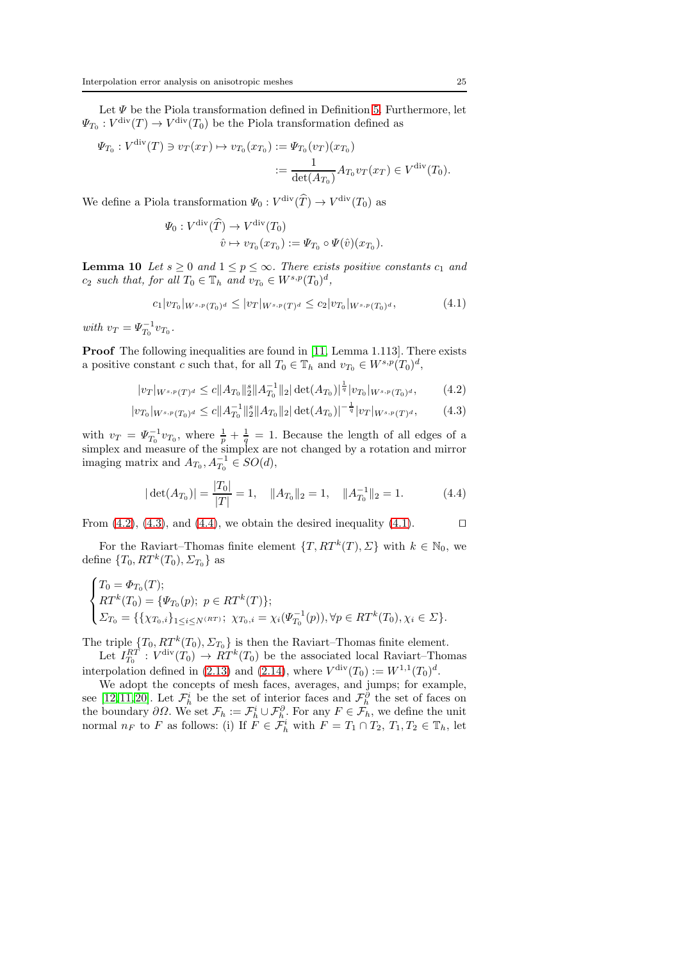Let  $\Psi$  be the Piola transformation defined in Definition [5.](#page-6-4) Furthermore, let  $\Psi_{T_0}: V^{\text{div}}(T) \to V^{\text{div}}(T_0)$  be the Piola transformation defined as

$$
\Psi_{T_0}: V^{\text{div}}(T) \ni v_T(x_T) \mapsto v_{T_0}(x_{T_0}) := \Psi_{T_0}(v_T)(x_{T_0})
$$
  

$$
:= \frac{1}{\det(A_{T_0})} A_{T_0} v_T(x_T) \in V^{\text{div}}(T_0).
$$

We define a Piola transformation  $\Psi_0: V^{\text{div}}(\hat{T}) \to V^{\text{div}}(T_0)$  as

<span id="page-24-3"></span>
$$
\Psi_0: V^{\text{div}}(\widehat{T}) \to V^{\text{div}}(T_0)
$$
  

$$
\widehat{v} \mapsto v_{T_0}(x_{T_0}) := \Psi_{T_0} \circ \Psi(\widehat{v})(x_{T_0}).
$$

**Lemma 10** Let  $s \geq 0$  and  $1 \leq p \leq \infty$ . There exists positive constants  $c_1$  and  $c_2$  such that, for all  $T_0 \in \mathbb{T}_h$  and  $v_{T_0} \in W^{s,p}(T_0)^d$ ,

<span id="page-24-0"></span>
$$
c_1|v_{T_0}|_{W^{s,p}(T_0)^d} \le |v_T|_{W^{s,p}(T)^d} \le c_2|v_{T_0}|_{W^{s,p}(T_0)^d},\tag{4.1}
$$

with  $v_T = \Psi_{T_0}^{-1} v_{T_0}$ .

Proof The following inequalities are found in [\[11,](#page-27-8) Lemma 1.113]. There exists a positive constant c such that, for all  $T_0 \in \mathbb{T}_h$  and  $v_{T_0} \in W^{s,p}(T_0)^d$ ,

<span id="page-24-1"></span>
$$
|v_T|_{W^{s,p}(T)^d} \le c \|A_{T_0}\|_2^s \|A_{T_0}^{-1}\|_2 |\det(A_{T_0})|^{\frac{1}{q}} |v_{T_0}|_{W^{s,p}(T_0)^d},\tag{4.2}
$$

$$
|v_{T_0}|_{W^{s,p}(T_0)^d} \le c \|A_{T_0}^{-1}\|_2^s \|A_{T_0}\|_2 |\det(A_{T_0})|^{-\frac{1}{q}} |v_T|_{W^{s,p}(T)^d},\tag{4.3}
$$

with  $v_T = \Psi_{T_0}^{-1} v_{T_0}$ , where  $\frac{1}{p} + \frac{1}{q} = 1$ . Because the length of all edges of a simplex and measure of the simplex are not changed by a rotation and mirror imaging matrix and  $A_{T_0}, A_{T_0}^{-1} \in SO(d)$ ,

<span id="page-24-2"></span>
$$
|\det(A_{T_0})| = \frac{|T_0|}{|T|} = 1, \quad \|A_{T_0}\|_2 = 1, \quad \|A_{T_0}^{-1}\|_2 = 1.
$$
 (4.4)

From [\(4.2\)](#page-24-0), [\(4.3\)](#page-24-1), and [\(4.4\)](#page-24-2), we obtain the desired inequality [\(4.1\)](#page-24-3). □

For the Raviart–Thomas finite element  $\{T, RT^k(T), \Sigma\}$  with  $k \in \mathbb{N}_0$ , we define  $\{T_0, RT^k(T_0), \Sigma_{T_0}\}\$ as

$$
\begin{cases}\nT_0 = \Phi_{T_0}(T); \\
RT^k(T_0) = \{\Psi_{T_0}(p); \ p \in RT^k(T)\}; \\
\sum_{T_0} = \{\{\chi_{T_0,i}\}_{1 \le i \le N^{(RT)}}; \ \chi_{T_0,i} = \chi_i(\Psi_{T_0}^{-1}(p)), \forall p \in RT^k(T_0), \chi_i \in \Sigma\}.\n\end{cases}
$$

The triple  $\{T_0, RT^k(T_0), \Sigma_{T_0}\}$  is then the Raviart–Thomas finite element.

Let  $I_{T_0}^{RT}$ :  $V^{\text{div}}(T_0) \rightarrow RT^k(T_0)$  be the associated local Raviart–Thomas interpolation defined in [\(2.13\)](#page-6-0) and [\(2.14\)](#page-6-3), where  $V^{\text{div}}(T_0) := W^{1,1}(T_0)^d$ .

We adopt the concepts of mesh faces, averages, and jumps; for example, see [\[12,](#page-27-10)[11,](#page-27-8)[20\]](#page-27-14). Let  $\mathcal{F}_h^i$  be the set of interior faces and  $\mathcal{F}_h^{\partial}$  the set of faces on the boundary  $\partial\Omega$ . We set  $\mathcal{F}_h := \mathcal{F}_h^i \cup \mathcal{F}_h^{\partial}$ . For any  $F \in \mathcal{F}_h$ , we define the unit normal  $n_F$  to F as follows: (i) If  $\tilde{F} \in \tilde{\mathcal{F}}_h^i$  with  $F = T_1 \cap T_2, T_1, T_2 \in \mathbb{T}_h$ , let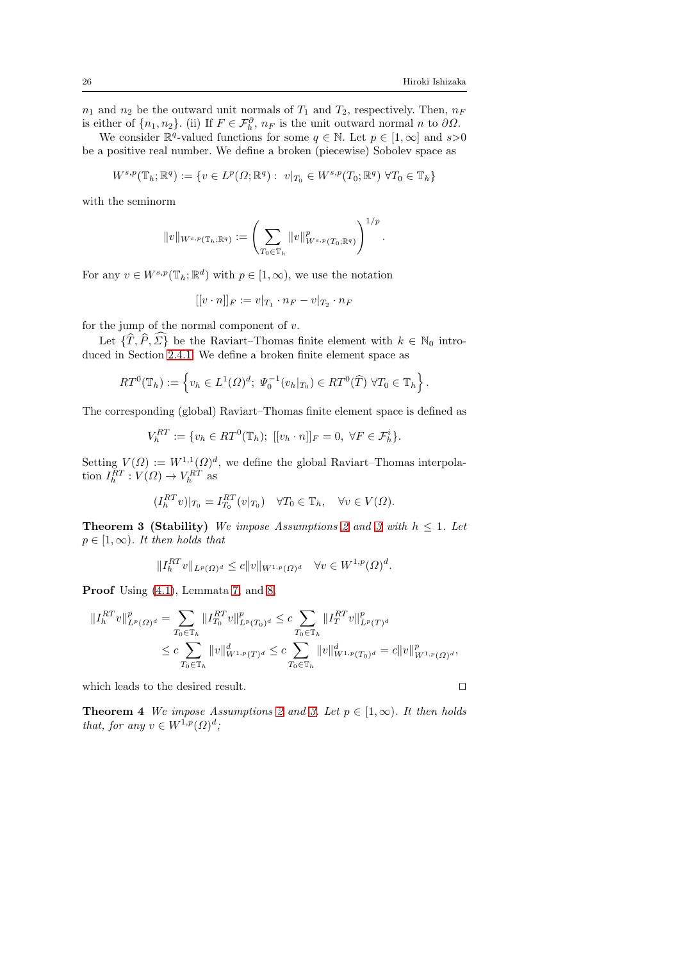.

 $n_1$  and  $n_2$  be the outward unit normals of  $T_1$  and  $T_2$ , respectively. Then,  $n_F$ is either of  $\{n_1, n_2\}$ . (ii) If  $F \in \mathcal{F}_h^{\partial}$ ,  $n_F$  is the unit outward normal n to  $\partial\Omega$ .

We consider  $\mathbb{R}^q$ -valued functions for some  $q \in \mathbb{N}$ . Let  $p \in [1, \infty]$  and  $s > 0$ be a positive real number. We define a broken (piecewise) Sobolev space as

$$
W^{s,p}(\mathbb{T}_h;\mathbb{R}^q):=\{v\in L^p(\varOmega;\mathbb{R}^q):\ v|_{T_0}\in W^{s,p}(T_0;\mathbb{R}^q)\ \forall T_0\in\mathbb{T}_h\}
$$

with the seminorm

$$
||v||_{W^{s,p}(\mathbb{T}_h;\mathbb{R}^q)} := \left(\sum_{T_0 \in \mathbb{T}_h} ||v||_{W^{s,p}(T_0;\mathbb{R}^q)}^p\right)^{1/p}
$$

For any  $v \in W^{s,p}(\mathbb{T}_h;\mathbb{R}^d)$  with  $p \in [1,\infty)$ , we use the notation

$$
[[v \cdot n]]_F := v|_{T_1} \cdot n_F - v|_{T_2} \cdot n_F
$$

for the jump of the normal component of  $v$ .

Let  $\{\widehat{T}, \widehat{P}, \widehat{\Sigma}\}\$  be the Raviart–Thomas finite element with  $k \in \mathbb{N}_0$  introduced in Section [2.4.1.](#page-6-5) We define a broken finite element space as

$$
RT^{0}(\mathbb{T}_{h}) := \left\{ v_{h} \in L^{1}(\Omega)^{d}; \ \Psi_{0}^{-1}(v_{h}|_{T_{0}}) \in RT^{0}(\widehat{T}) \ \forall T_{0} \in \mathbb{T}_{h} \right\}.
$$

The corresponding (global) Raviart–Thomas finite element space is defined as

$$
V_h^{RT} := \{ v_h \in RT^0(\mathbb{T}_h); [[v_h \cdot n]]_F = 0, \ \forall F \in \mathcal{F}_h^i \}.
$$

Setting  $V(\Omega) := W^{1,1}(\Omega)^d$ , we define the global Raviart–Thomas interpolation  $I_h^{RT}: V(\Omega) \to V_h^{RT}$  as

$$
(I_h^{RT}v)|_{T_0} = I_{T_0}^{RT}(v|_{T_0}) \quad \forall T_0 \in \mathbb{T}_h, \quad \forall v \in V(\Omega).
$$

<span id="page-25-0"></span>**Theorem [3](#page-5-1) (Stability)** We impose Assumptions [2](#page-5-2) and 3 with  $h \leq 1$ . Let  $p \in [1,\infty)$ . It then holds that

$$
||I_h^{RT}v||_{L^p(\Omega)^d} \le c||v||_{W^{1,p}(\Omega)^d} \quad \forall v \in W^{1,p}(\Omega)^d.
$$

Proof Using  $(4.1)$ , Lemmata [7,](#page-17-0) and [8,](#page-19-0)

$$
\begin{aligned} \|I_h^{RT}v\|_{L^p(\Omega)^d}^p &= \sum_{T_0 \in \mathbb{T}_h} \|I_{T_0}^{RT}v\|_{L^p(T_0)^d}^p \le c \sum_{T_0 \in \mathbb{T}_h} \|I_T^{RT}v\|_{L^p(T)^d}^p \\ &\le c \sum_{T_0 \in \mathbb{T}_h} \|v\|_{W^{1,p}(T)^d}^d \le c \sum_{T_0 \in \mathbb{T}_h} \|v\|_{W^{1,p}(T_0)^d}^d = c \|v\|_{W^{1,p}(\Omega)^d}^p, \end{aligned}
$$

which leads to the desired result. □

**Theorem 4** We impose Assumptions [2](#page-5-2) and [3.](#page-5-1) Let  $p \in [1,\infty)$ . It then holds that, for any  $v \in W^{1,p}(\Omega)^d$ ;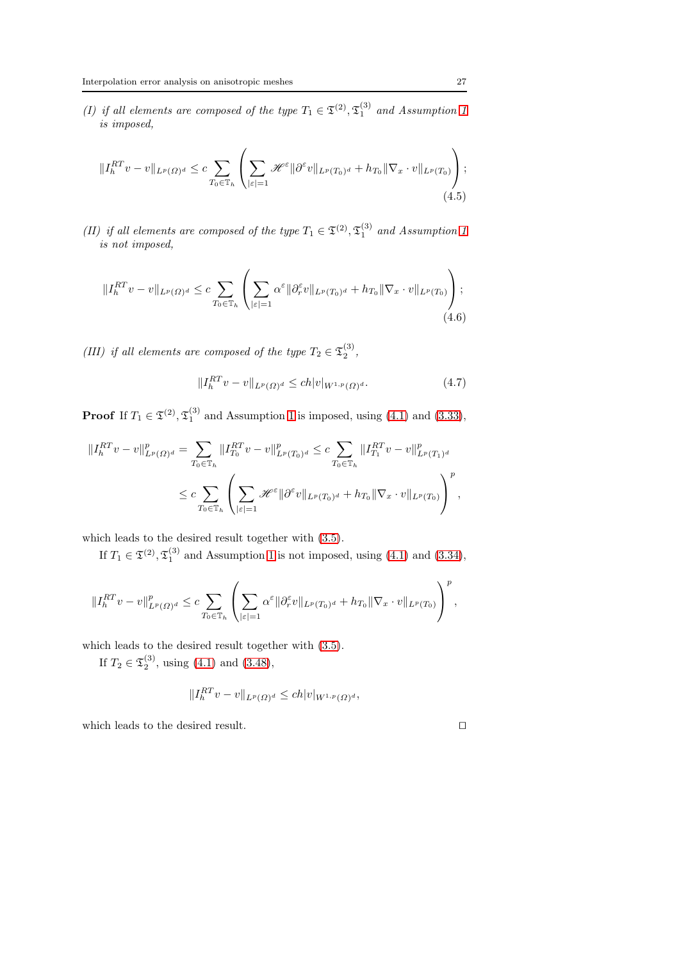(I) if all elements are composed of the type  $T_1 \in \mathfrak{T}^{(2)}$ ,  $\mathfrak{T}^{(3)}_1$  and Assumption [1](#page-4-1) is imposed,

$$
||I_h^{RT}v - v||_{L^p(\Omega)^d} \le c \sum_{T_0 \in \mathbb{T}_h} \left( \sum_{|\varepsilon|=1} \mathcal{H}^{\varepsilon} ||\partial^{\varepsilon}v||_{L^p(T_0)^d} + h_{T_0} ||\nabla_x \cdot v||_{L^p(T_0)} \right);
$$
\n(4.5)

(II) if all elements are composed of the type  $T_1 \in \mathfrak{T}^{(2)}$ ,  $\mathfrak{T}^{(3)}_1$  and Assumption [1](#page-4-1) is not imposed,

$$
||I_h^{RT}v - v||_{L^p(\Omega)^d} \leq c \sum_{T_0 \in \mathbb{T}_h} \left( \sum_{|\varepsilon|=1} \alpha^{\varepsilon} ||\partial_r^{\varepsilon}v||_{L^p(T_0)^d} + h_{T_0} ||\nabla_x \cdot v||_{L^p(T_0)} \right);
$$
\n(4.6)

(III) if all elements are composed of the type  $T_2 \in \mathfrak{T}_2^{(3)}$ ,

$$
||I_h^{RT}v - v||_{L^p(\Omega)^d} \le ch|v|_{W^{1,p}(\Omega)^d}.
$$
\n(4.7)

**Proof** If  $T_1 \in \mathfrak{T}^{(2)}$ ,  $\mathfrak{T}_1^{(3)}$  and Assumption [1](#page-4-1) is imposed, using [\(4.1\)](#page-24-3) and [\(3.33\)](#page-20-3),

$$
\begin{split} \|I_h^{RT}v - v\|_{L^p(\Omega)^d}^p &= \sum_{T_0 \in \mathbb{T}_h} \|I_{T_0}^{RT}v - v\|_{L^p(T_0)^d}^p \le c \sum_{T_0 \in \mathbb{T}_h} \|I_{T_1}^{RT}v - v\|_{L^p(T_1)^d}^p \\ &\le c \sum_{T_0 \in \mathbb{T}_h} \left( \sum_{|\varepsilon|=1} \mathcal{H}^\varepsilon \|\partial^\varepsilon v\|_{L^p(T_0)^d} + h_{T_0} \|\nabla_x \cdot v\|_{L^p(T_0)} \right)^p, \end{split}
$$

which leads to the desired result together with [\(3.5\)](#page-9-5).

If  $T_1 \in \mathfrak{T}^{(2)}$ ,  $\mathfrak{T}_1^{(3)}$  and Assumption [1](#page-4-1) is not imposed, using [\(4.1\)](#page-24-3) and [\(3.34\)](#page-20-4),

$$
\|I_h^{RT}v - v\|_{L^p(\Omega)^d}^p \leq c \sum_{T_0 \in \mathbb{T}_h} \left( \sum_{|\varepsilon|=1} \alpha^{\varepsilon} \|\partial_r^{\varepsilon}v\|_{L^p(T_0)^d} + h_{T_0} \|\nabla_x \cdot v\|_{L^p(T_0)} \right)^p,
$$

which leads to the desired result together with [\(3.5\)](#page-9-5).

If  $T_2 \in \mathfrak{T}_2^{(3)}$ , using  $(4.1)$  and  $(3.48)$ ,

$$
||I_h^{RT} v - v||_{L^p(\Omega)^d} \le ch |v|_{W^{1,p}(\Omega)^d},
$$

which leads to the desired result.  $□$